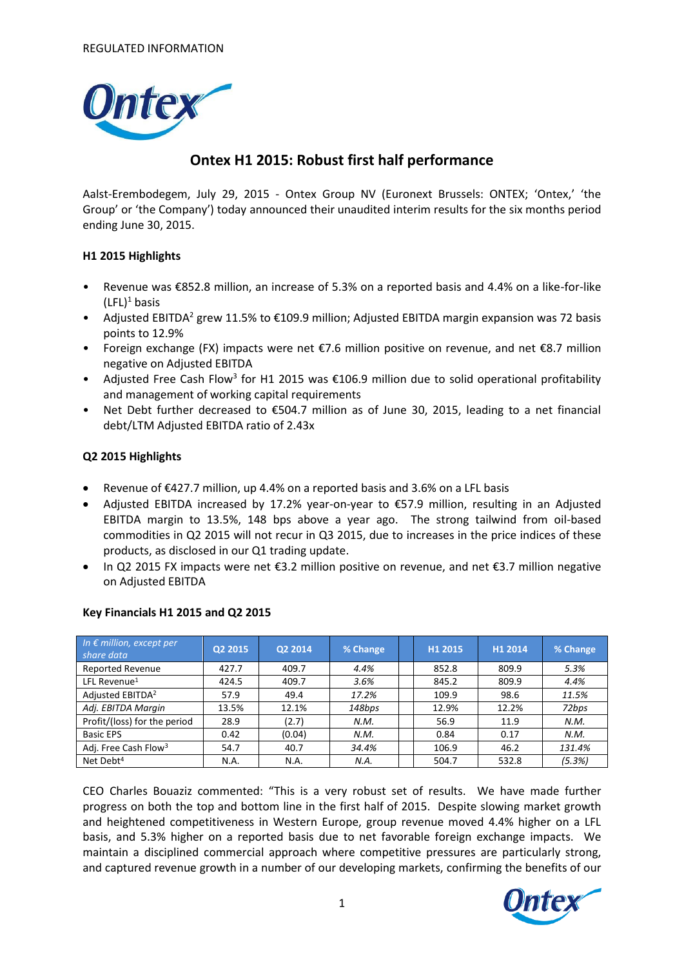

# **Ontex H1 2015: Robust first half performance**

Aalst-Erembodegem, July 29, 2015 - Ontex Group NV (Euronext Brussels: ONTEX; 'Ontex,' 'the Group' or 'the Company') today announced their unaudited interim results for the six months period ending June 30, 2015.

### **H1 2015 Highlights**

- Revenue was €852.8 million, an increase of 5.3% on a reported basis and 4.4% on a like-for-like  $(LFL)^1$  basis
- Adjusted EBITDA<sup>2</sup> grew 11.5% to  $\epsilon$ 109.9 million; Adjusted EBITDA margin expansion was 72 basis points to 12.9%
- Foreign exchange (FX) impacts were net €7.6 million positive on revenue, and net €8.7 million negative on Adjusted EBITDA
- Adjusted Free Cash Flow<sup>3</sup> for H1 2015 was  $\epsilon$ 106.9 million due to solid operational profitability and management of working capital requirements
- Net Debt further decreased to €504.7 million as of June 30, 2015, leading to a net financial debt/LTM Adjusted EBITDA ratio of 2.43x

### **Q2 2015 Highlights**

- Revenue of €427.7 million, up 4.4% on a reported basis and 3.6% on a LFL basis
- Adjusted EBITDA increased by 17.2% year-on-year to €57.9 million, resulting in an Adjusted EBITDA margin to 13.5%, 148 bps above a year ago. The strong tailwind from oil-based commodities in Q2 2015 will not recur in Q3 2015, due to increases in the price indices of these products, as disclosed in our Q1 trading update.
- In Q2 2015 FX impacts were net  $€3.2$  million positive on revenue, and net  $€3.7$  million negative on Adjusted EBITDA

| In $\epsilon$ million, except per<br>share data | Q2 2015 | Q2 2014 | % Change | H1 2015 | H1 2014 | % Change |
|-------------------------------------------------|---------|---------|----------|---------|---------|----------|
| <b>Reported Revenue</b>                         | 427.7   | 409.7   | 4.4%     | 852.8   | 809.9   | 5.3%     |
| LFL Revenue <sup>1</sup>                        | 424.5   | 409.7   | 3.6%     | 845.2   | 809.9   | 4.4%     |
| Adjusted EBITDA <sup>2</sup>                    | 57.9    | 49.4    | 17.2%    | 109.9   | 98.6    | 11.5%    |
| Adj. EBITDA Margin                              | 13.5%   | 12.1%   | 148bps   | 12.9%   | 12.2%   | 72bps    |
| Profit/(loss) for the period                    | 28.9    | (2.7)   | N.M.     | 56.9    | 11.9    | N.M.     |
| <b>Basic EPS</b>                                | 0.42    | (0.04)  | N.M.     | 0.84    | 0.17    | N.M.     |
| Adj. Free Cash Flow <sup>3</sup>                | 54.7    | 40.7    | 34.4%    | 106.9   | 46.2    | 131.4%   |
| Net Debt <sup>4</sup>                           | N.A.    | N.A.    | N.A.     | 504.7   | 532.8   | (5.3%)   |

### **Key Financials H1 2015 and Q2 2015**

CEO Charles Bouaziz commented: "This is a very robust set of results. We have made further progress on both the top and bottom line in the first half of 2015. Despite slowing market growth and heightened competitiveness in Western Europe, group revenue moved 4.4% higher on a LFL basis, and 5.3% higher on a reported basis due to net favorable foreign exchange impacts. We maintain a disciplined commercial approach where competitive pressures are particularly strong, and captured revenue growth in a number of our developing markets, confirming the benefits of our

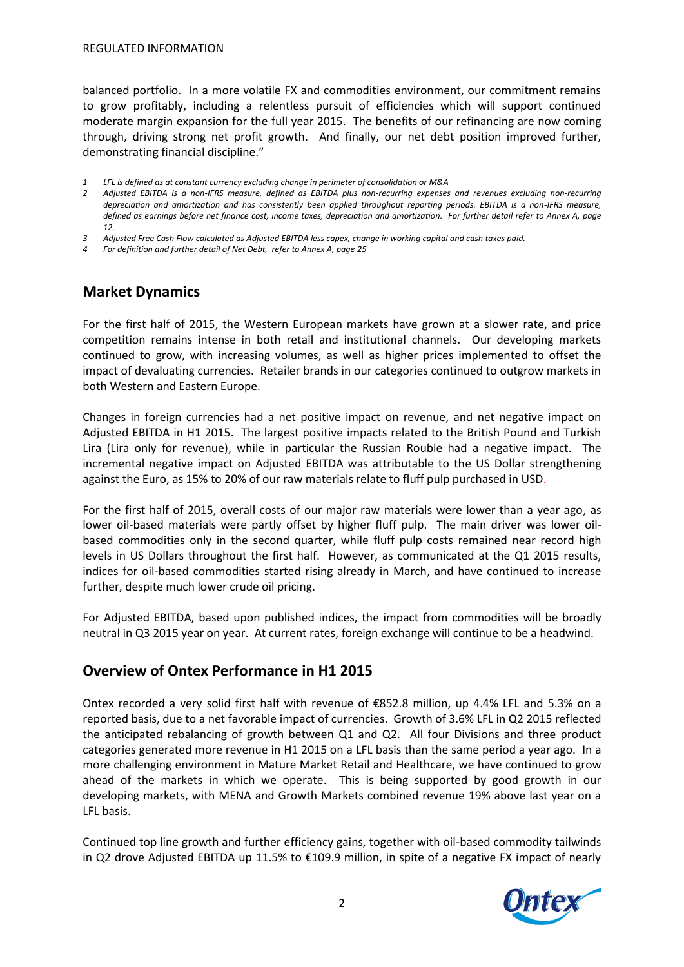REGULATED INFORMATION

balanced portfolio. In a more volatile FX and commodities environment, our commitment remains to grow profitably, including a relentless pursuit of efficiencies which will support continued moderate margin expansion for the full year 2015. The benefits of our refinancing are now coming through, driving strong net profit growth. And finally, our net debt position improved further, demonstrating financial discipline."

- *1 LFL is defined as at constant currency excluding change in perimeter of consolidation or M&A*
- *2 Adjusted EBITDA is a non-IFRS measure, defined as EBITDA plus non-recurring expenses and revenues excluding non-recurring depreciation and amortization and has consistently been applied throughout reporting periods. EBITDA is a non-IFRS measure, defined as earnings before net finance cost, income taxes, depreciation and amortization. For further detail refer to Annex A, page 12.*
- *3 Adjusted Free Cash Flow calculated as Adjusted EBITDA less capex, change in working capital and cash taxes paid.*
- *4 For definition and further detail of Net Debt, refer to Annex A, page 25*

### **Market Dynamics**

For the first half of 2015, the Western European markets have grown at a slower rate, and price competition remains intense in both retail and institutional channels. Our developing markets continued to grow, with increasing volumes, as well as higher prices implemented to offset the impact of devaluating currencies. Retailer brands in our categories continued to outgrow markets in both Western and Eastern Europe.

Changes in foreign currencies had a net positive impact on revenue, and net negative impact on Adjusted EBITDA in H1 2015. The largest positive impacts related to the British Pound and Turkish Lira (Lira only for revenue), while in particular the Russian Rouble had a negative impact. The incremental negative impact on Adjusted EBITDA was attributable to the US Dollar strengthening against the Euro, as 15% to 20% of our raw materials relate to fluff pulp purchased in USD.

For the first half of 2015, overall costs of our major raw materials were lower than a year ago, as lower oil-based materials were partly offset by higher fluff pulp. The main driver was lower oilbased commodities only in the second quarter, while fluff pulp costs remained near record high levels in US Dollars throughout the first half. However, as communicated at the Q1 2015 results, indices for oil-based commodities started rising already in March, and have continued to increase further, despite much lower crude oil pricing.

For Adjusted EBITDA, based upon published indices, the impact from commodities will be broadly neutral in Q3 2015 year on year. At current rates, foreign exchange will continue to be a headwind.

### **Overview of Ontex Performance in H1 2015**

Ontex recorded a very solid first half with revenue of €852.8 million, up 4.4% LFL and 5.3% on a reported basis, due to a net favorable impact of currencies. Growth of 3.6% LFL in Q2 2015 reflected the anticipated rebalancing of growth between Q1 and Q2. All four Divisions and three product categories generated more revenue in H1 2015 on a LFL basis than the same period a year ago. In a more challenging environment in Mature Market Retail and Healthcare, we have continued to grow ahead of the markets in which we operate. This is being supported by good growth in our developing markets, with MENA and Growth Markets combined revenue 19% above last year on a LFL basis.

Continued top line growth and further efficiency gains, together with oil-based commodity tailwinds in Q2 drove Adjusted EBITDA up 11.5% to €109.9 million, in spite of a negative FX impact of nearly

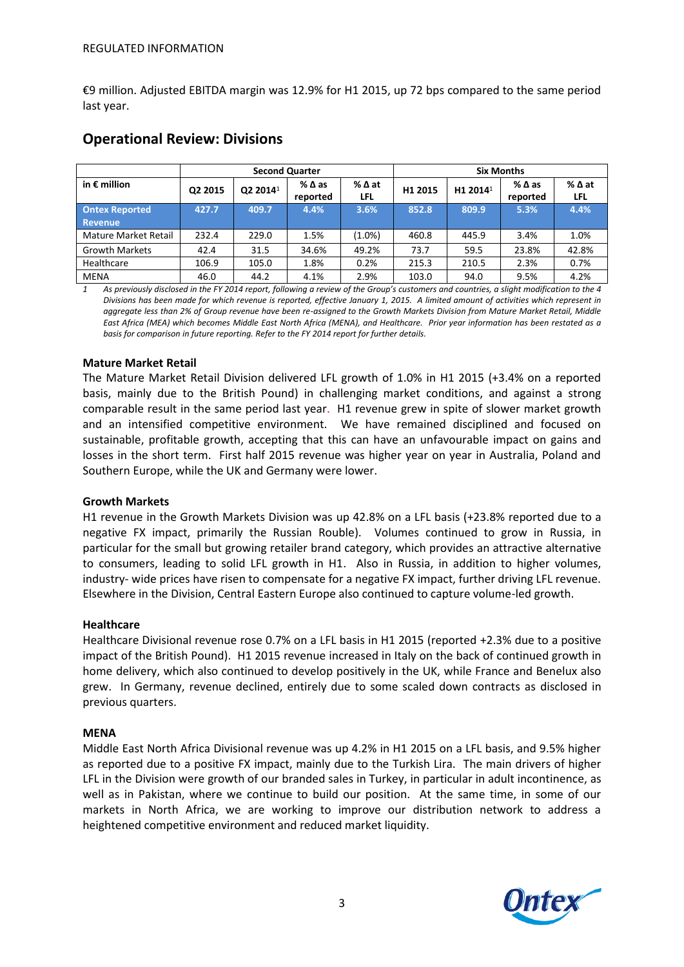€9 million. Adjusted EBITDA margin was 12.9% for H1 2015, up 72 bps compared to the same period last year.

|                       | <b>Second Quarter</b> |                      |                             |                        | <b>Six Months</b> |                      |                  |             |
|-----------------------|-----------------------|----------------------|-----------------------------|------------------------|-------------------|----------------------|------------------|-------------|
| in $\epsilon$ million | Q2 2015               | Q2 2014 <sup>1</sup> | $%$ $\Delta$ as<br>reported | $%$ $\Delta$ at<br>LFL | H1 2015           | H1 2014 <sup>1</sup> | %∆as<br>reported | %∆at<br>LFL |
| <b>Ontex Reported</b> | 427.7                 | 409.7                | 4.4%                        | 3.6%                   | 852.8             | 809.9                | 5.3%             | 4.4%        |
| <b>Revenue</b>        |                       |                      |                             |                        |                   |                      |                  |             |
| Mature Market Retail  | 232.4                 | 229.0                | 1.5%                        | $(1.0\%)$              | 460.8             | 445.9                | 3.4%             | 1.0%        |
| <b>Growth Markets</b> | 42.4                  | 31.5                 | 34.6%                       | 49.2%                  | 73.7              | 59.5                 | 23.8%            | 42.8%       |
| Healthcare            | 106.9                 | 105.0                | 1.8%                        | 0.2%                   | 215.3             | 210.5                | 2.3%             | 0.7%        |
| <b>MENA</b>           | 46.0                  | 44.2                 | 4.1%                        | 2.9%                   | 103.0             | 94.0                 | 9.5%             | 4.2%        |

## **Operational Review: Divisions**

*1 As previously disclosed in the FY 2014 report, following a review of the Group's customers and countries, a slight modification to the 4 Divisions has been made for which revenue is reported, effective January 1, 2015. A limited amount of activities which represent in aggregate less than 2% of Group revenue have been re-assigned to the Growth Markets Division from Mature Market Retail, Middle East Africa (MEA) which becomes Middle East North Africa (MENA), and Healthcare. Prior year information has been restated as a basis for comparison in future reporting. Refer to the FY 2014 report for further details.* 

#### **Mature Market Retail**

The Mature Market Retail Division delivered LFL growth of 1.0% in H1 2015 (+3.4% on a reported basis, mainly due to the British Pound) in challenging market conditions, and against a strong comparable result in the same period last year. H1 revenue grew in spite of slower market growth and an intensified competitive environment. We have remained disciplined and focused on sustainable, profitable growth, accepting that this can have an unfavourable impact on gains and losses in the short term. First half 2015 revenue was higher year on year in Australia, Poland and Southern Europe, while the UK and Germany were lower.

#### **Growth Markets**

H1 revenue in the Growth Markets Division was up 42.8% on a LFL basis (+23.8% reported due to a negative FX impact, primarily the Russian Rouble). Volumes continued to grow in Russia, in particular for the small but growing retailer brand category, which provides an attractive alternative to consumers, leading to solid LFL growth in H1. Also in Russia, in addition to higher volumes, industry- wide prices have risen to compensate for a negative FX impact, further driving LFL revenue. Elsewhere in the Division, Central Eastern Europe also continued to capture volume-led growth.

#### **Healthcare**

Healthcare Divisional revenue rose 0.7% on a LFL basis in H1 2015 (reported +2.3% due to a positive impact of the British Pound). H1 2015 revenue increased in Italy on the back of continued growth in home delivery, which also continued to develop positively in the UK, while France and Benelux also grew. In Germany, revenue declined, entirely due to some scaled down contracts as disclosed in previous quarters.

#### **MENA**

Middle East North Africa Divisional revenue was up 4.2% in H1 2015 on a LFL basis, and 9.5% higher as reported due to a positive FX impact, mainly due to the Turkish Lira. The main drivers of higher LFL in the Division were growth of our branded sales in Turkey, in particular in adult incontinence, as well as in Pakistan, where we continue to build our position. At the same time, in some of our markets in North Africa, we are working to improve our distribution network to address a heightened competitive environment and reduced market liquidity.

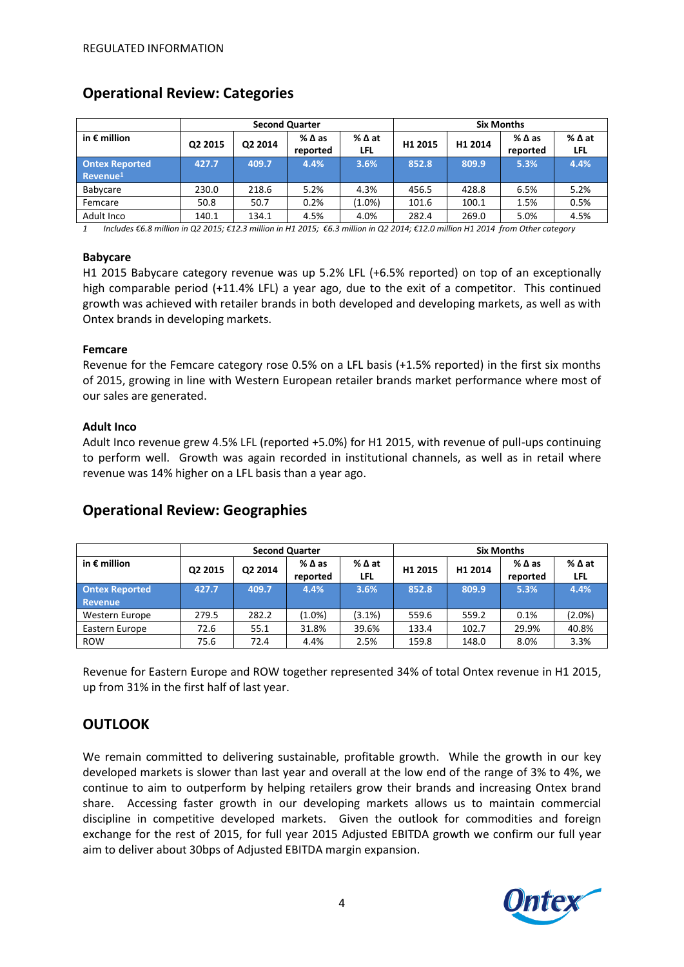|                                               | <b>Second Quarter</b> |         |                  | <b>Six Months</b>             |                     |                     |                             |                               |
|-----------------------------------------------|-----------------------|---------|------------------|-------------------------------|---------------------|---------------------|-----------------------------|-------------------------------|
| in $\epsilon$ million                         | Q2 2015               | Q2 2014 | %∆as<br>reported | $%$ $\Delta$ at<br><b>LFL</b> | H <sub>1</sub> 2015 | H <sub>1</sub> 2014 | $%$ $\Delta$ as<br>reported | $%$ $\Delta$ at<br><b>LFL</b> |
| <b>Ontex Reported</b><br>Revenue <sup>1</sup> | 427.7                 | 409.7   | 4.4%             | 3.6%                          | 852.8               | 809.9               | 5.3%                        | 4.4%                          |
| Babycare                                      | 230.0                 | 218.6   | 5.2%             | 4.3%                          | 456.5               | 428.8               | 6.5%                        | 5.2%                          |
| Femcare                                       | 50.8                  | 50.7    | 0.2%             | $(1.0\%)$                     | 101.6               | 100.1               | 1.5%                        | 0.5%                          |
| Adult Inco                                    | 140.1                 | 134.1   | 4.5%             | 4.0%                          | 282.4               | 269.0               | 5.0%                        | 4.5%                          |

### **Operational Review: Categories**

1 Includes €6.8 million in Q2 2015; €12.3 million in H1 2015; €6.3 million in Q2 2014; €12.0 million H1 2014 from Other category

#### **Babycare**

H1 2015 Babycare category revenue was up 5.2% LFL (+6.5% reported) on top of an exceptionally high comparable period (+11.4% LFL) a year ago, due to the exit of a competitor. This continued growth was achieved with retailer brands in both developed and developing markets, as well as with Ontex brands in developing markets.

#### **Femcare**

Revenue for the Femcare category rose 0.5% on a LFL basis (+1.5% reported) in the first six months of 2015, growing in line with Western European retailer brands market performance where most of our sales are generated.

#### **Adult Inco**

Adult Inco revenue grew 4.5% LFL (reported +5.0%) for H1 2015, with revenue of pull-ups continuing to perform well. Growth was again recorded in institutional channels, as well as in retail where revenue was 14% higher on a LFL basis than a year ago.

|                                         | <b>Second Quarter</b> |         |                  |             |                     | <b>Six Months</b> |                  |                               |
|-----------------------------------------|-----------------------|---------|------------------|-------------|---------------------|-------------------|------------------|-------------------------------|
| in $\epsilon$ million                   | Q2 2015               | Q2 2014 | %∆as<br>reported | %∆at<br>LFL | H <sub>1</sub> 2015 | H1 2014           | %∆as<br>reported | $%$ $\Delta$ at<br><b>LFL</b> |
| <b>Ontex Reported</b><br><b>Revenue</b> | 427.7                 | 409.7   | 4.4%             | 3.6%        | 852.8               | 809.9             | 5.3%             | 4.4%                          |
| Western Europe                          | 279.5                 | 282.2   | $(1.0\%)$        | (3.1%)      | 559.6               | 559.2             | 0.1%             | $(2.0\%)$                     |
| Eastern Europe                          | 72.6                  | 55.1    | 31.8%            | 39.6%       | 133.4               | 102.7             | 29.9%            | 40.8%                         |
| <b>ROW</b>                              | 75.6                  | 72.4    | 4.4%             | 2.5%        | 159.8               | 148.0             | 8.0%             | 3.3%                          |

### **Operational Review: Geographies**

Revenue for Eastern Europe and ROW together represented 34% of total Ontex revenue in H1 2015, up from 31% in the first half of last year.

### **OUTLOOK**

We remain committed to delivering sustainable, profitable growth. While the growth in our key developed markets is slower than last year and overall at the low end of the range of 3% to 4%, we continue to aim to outperform by helping retailers grow their brands and increasing Ontex brand share. Accessing faster growth in our developing markets allows us to maintain commercial discipline in competitive developed markets. Given the outlook for commodities and foreign exchange for the rest of 2015, for full year 2015 Adjusted EBITDA growth we confirm our full year aim to deliver about 30bps of Adjusted EBITDA margin expansion.

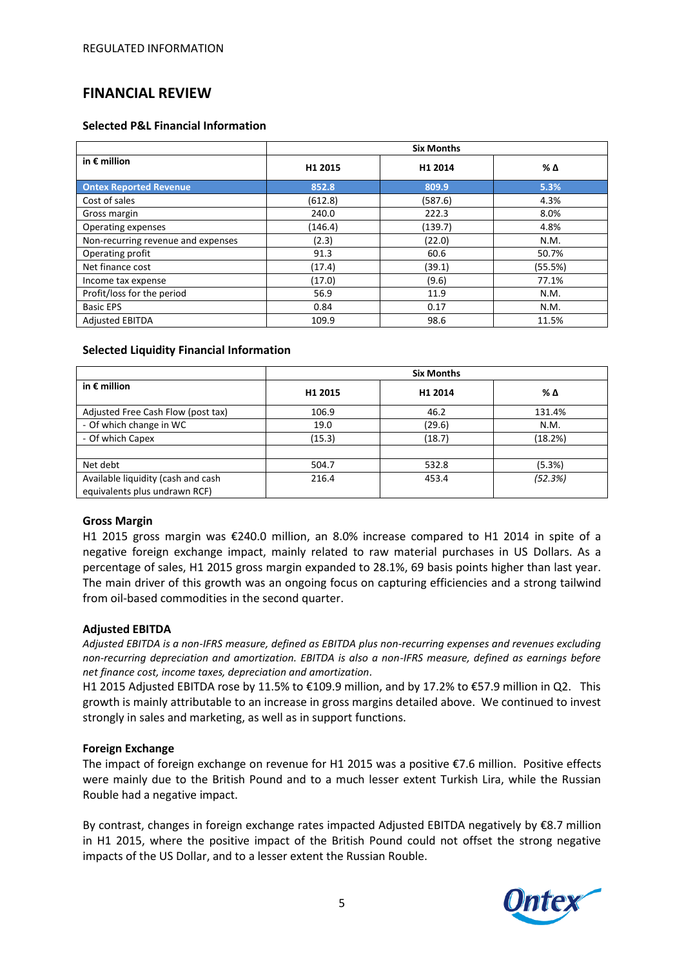### **FINANCIAL REVIEW**

#### **Selected P&L Financial Information**

|                                    | <b>Six Months</b> |         |         |  |  |
|------------------------------------|-------------------|---------|---------|--|--|
| in $\epsilon$ million              | H1 2015           | H1 2014 | % Δ     |  |  |
| <b>Ontex Reported Revenue</b>      | 852.8             | 809.9   | 5.3%    |  |  |
| Cost of sales                      | (612.8)           | (587.6) | 4.3%    |  |  |
| Gross margin                       | 240.0             | 222.3   | 8.0%    |  |  |
| Operating expenses                 | (146.4)           | (139.7) | 4.8%    |  |  |
| Non-recurring revenue and expenses | (2.3)             | (22.0)  | N.M.    |  |  |
| Operating profit                   | 91.3              | 60.6    | 50.7%   |  |  |
| Net finance cost                   | (17.4)            | (39.1)  | (55.5%) |  |  |
| Income tax expense                 | (17.0)            | (9.6)   | 77.1%   |  |  |
| Profit/loss for the period         | 56.9              | 11.9    | N.M.    |  |  |
| <b>Basic EPS</b>                   | 0.84              | 0.17    | N.M.    |  |  |
| <b>Adiusted EBITDA</b>             | 109.9             | 98.6    | 11.5%   |  |  |

#### **Selected Liquidity Financial Information**

|                                                                     | <b>Six Months</b> |         |         |  |  |
|---------------------------------------------------------------------|-------------------|---------|---------|--|--|
| in $\epsilon$ million                                               | H1 2015           | H1 2014 | % Δ     |  |  |
| Adjusted Free Cash Flow (post tax)                                  | 106.9             | 46.2    | 131.4%  |  |  |
| - Of which change in WC                                             | 19.0              | (29.6)  | N.M.    |  |  |
| - Of which Capex                                                    | (15.3)            | (18.7)  | (18.2%) |  |  |
|                                                                     |                   |         |         |  |  |
| Net debt                                                            | 504.7             | 532.8   | (5.3%)  |  |  |
| Available liquidity (cash and cash<br>equivalents plus undrawn RCF) | 216.4             | 453.4   | (52.3%) |  |  |

#### **Gross Margin**

H1 2015 gross margin was €240.0 million, an 8.0% increase compared to H1 2014 in spite of a negative foreign exchange impact, mainly related to raw material purchases in US Dollars. As a percentage of sales, H1 2015 gross margin expanded to 28.1%, 69 basis points higher than last year. The main driver of this growth was an ongoing focus on capturing efficiencies and a strong tailwind from oil-based commodities in the second quarter.

#### **Adjusted EBITDA**

*Adjusted EBITDA is a non-IFRS measure, defined as EBITDA plus non-recurring expenses and revenues excluding non-recurring depreciation and amortization. EBITDA is also a non-IFRS measure, defined as earnings before net finance cost, income taxes, depreciation and amortization.*

H1 2015 Adjusted EBITDA rose by 11.5% to €109.9 million, and by 17.2% to €57.9 million in Q2. This growth is mainly attributable to an increase in gross margins detailed above. We continued to invest strongly in sales and marketing, as well as in support functions.

#### **Foreign Exchange**

The impact of foreign exchange on revenue for H1 2015 was a positive €7.6 million. Positive effects were mainly due to the British Pound and to a much lesser extent Turkish Lira, while the Russian Rouble had a negative impact.

By contrast, changes in foreign exchange rates impacted Adjusted EBITDA negatively by €8.7 million in H1 2015, where the positive impact of the British Pound could not offset the strong negative impacts of the US Dollar, and to a lesser extent the Russian Rouble.

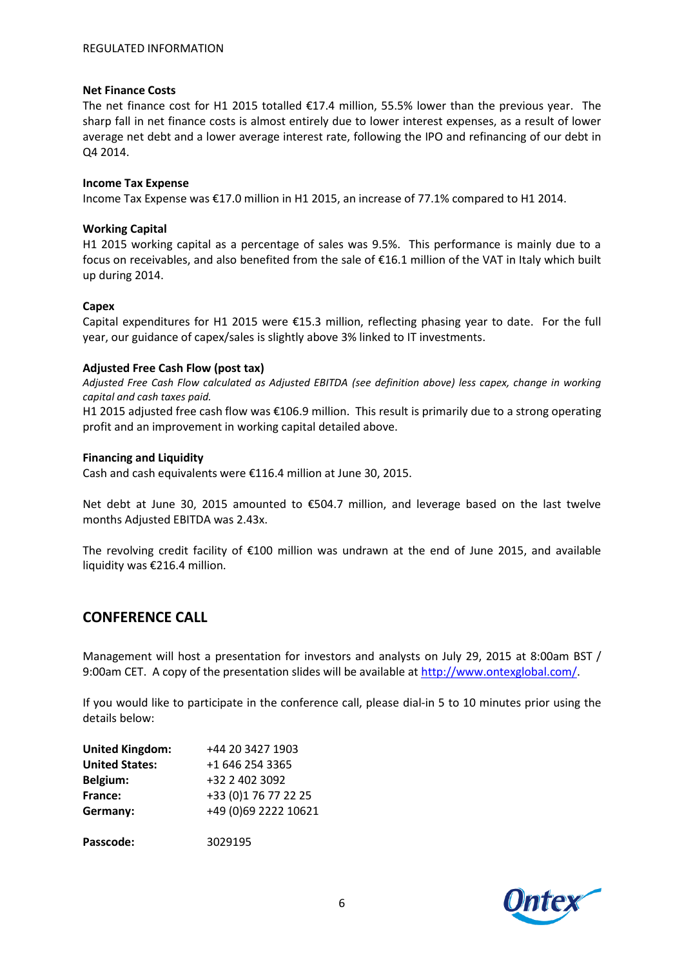#### **Net Finance Costs**

The net finance cost for H1 2015 totalled €17.4 million, 55.5% lower than the previous year. The sharp fall in net finance costs is almost entirely due to lower interest expenses, as a result of lower average net debt and a lower average interest rate, following the IPO and refinancing of our debt in Q4 2014.

#### **Income Tax Expense**

Income Tax Expense was €17.0 million in H1 2015, an increase of 77.1% compared to H1 2014.

#### **Working Capital**

H1 2015 working capital as a percentage of sales was 9.5%. This performance is mainly due to a focus on receivables, and also benefited from the sale of €16.1 million of the VAT in Italy which built up during 2014.

#### **Capex**

Capital expenditures for H1 2015 were €15.3 million, reflecting phasing year to date. For the full year, our guidance of capex/sales is slightly above 3% linked to IT investments.

#### **Adjusted Free Cash Flow (post tax)**

*Adjusted Free Cash Flow calculated as Adjusted EBITDA (see definition above) less capex, change in working capital and cash taxes paid.*

H1 2015 adjusted free cash flow was €106.9 million. This result is primarily due to a strong operating profit and an improvement in working capital detailed above.

#### **Financing and Liquidity**

Cash and cash equivalents were €116.4 million at June 30, 2015.

Net debt at June 30, 2015 amounted to €504.7 million, and leverage based on the last twelve months Adjusted EBITDA was 2.43x.

The revolving credit facility of €100 million was undrawn at the end of June 2015, and available liquidity was €216.4 million.

### **CONFERENCE CALL**

Management will host a presentation for investors and analysts on July 29, 2015 at 8:00am BST / 9:00am CET. A copy of the presentation slides will be available a[t http://www.ontexglobal.com/.](http://www.ontexglobal.com/)

If you would like to participate in the conference call, please dial-in 5 to 10 minutes prior using the details below:

| <b>United Kingdom:</b> | +44 20 3427 1903      |
|------------------------|-----------------------|
| <b>United States:</b>  | +1 646 254 3365       |
| Belgium:               | +32 2 402 3092        |
| France:                | +33 (0) 1 76 77 22 25 |
| Germany:               | +49 (0)69 2222 10621  |
| Passcode:              | 3029195               |

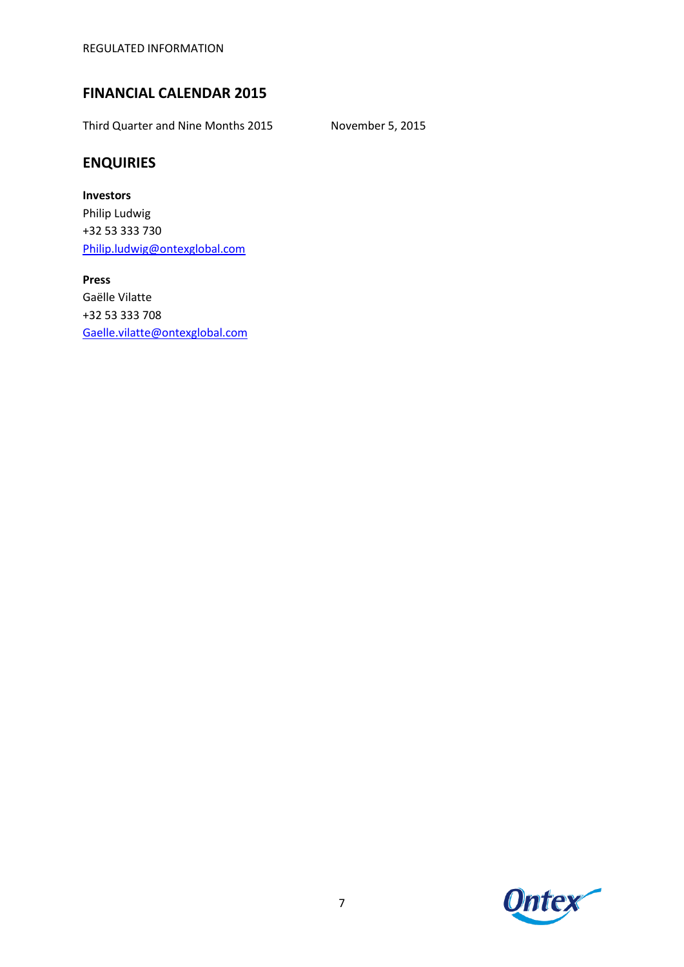REGULATED INFORMATION

# **FINANCIAL CALENDAR 2015**

Third Quarter and Nine Months 2015 November 5, 2015

# **ENQUIRIES**

**Investors** Philip Ludwig +32 53 333 730 [Philip.ludwig@ontexglobal.com](mailto:Philip.ludwig@ontexglobal.com)

**Press** Gaëlle Vilatte +32 53 333 708 [Gaelle.vilatte@ontexglobal.com](mailto:Gaelle.vilatte@ontexglobal.com)

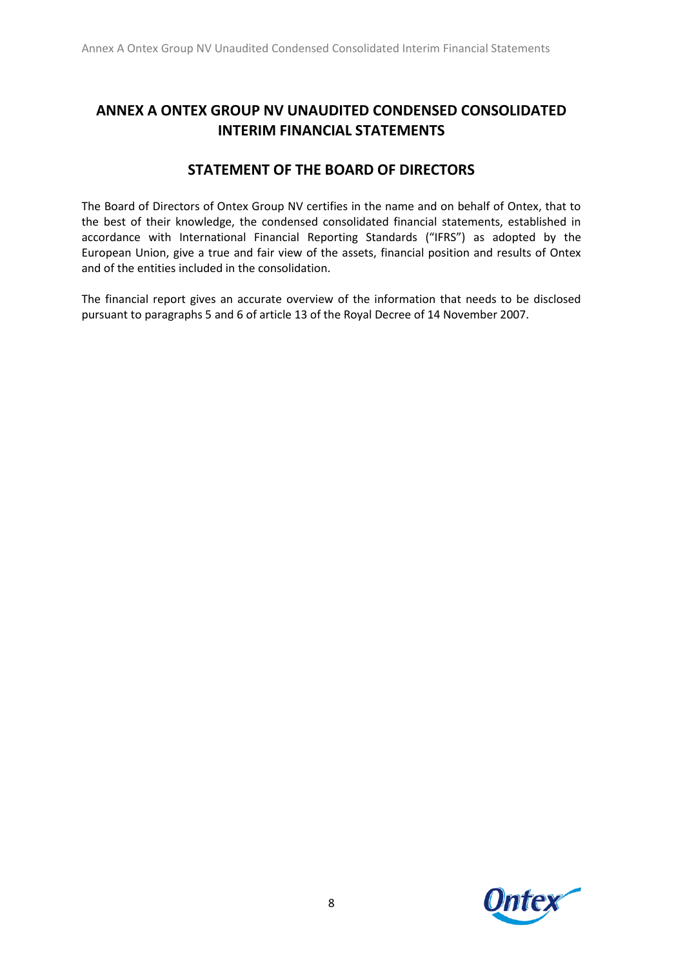# **ANNEX A ONTEX GROUP NV UNAUDITED CONDENSED CONSOLIDATED INTERIM FINANCIAL STATEMENTS**

# **STATEMENT OF THE BOARD OF DIRECTORS**

The Board of Directors of Ontex Group NV certifies in the name and on behalf of Ontex, that to the best of their knowledge, the condensed consolidated financial statements, established in accordance with International Financial Reporting Standards ("IFRS") as adopted by the European Union, give a true and fair view of the assets, financial position and results of Ontex and of the entities included in the consolidation.

The financial report gives an accurate overview of the information that needs to be disclosed pursuant to paragraphs 5 and 6 of article 13 of the Royal Decree of 14 November 2007.

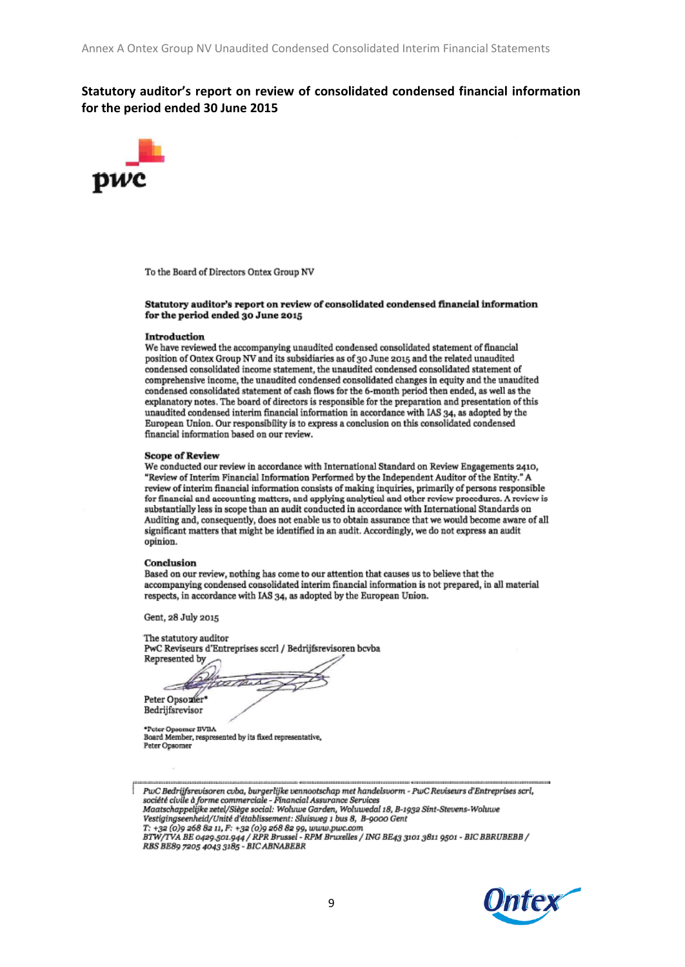### **Statutory auditor's report on review of consolidated condensed financial information for the period ended 30 June 2015**



To the Board of Directors Ontex Group NV

#### Statutory auditor's report on review of consolidated condensed financial information for the period ended 30 June 2015

#### Introduction

We have reviewed the accompanying unaudited condensed consolidated statement of financial position of Ontex Group NV and its subsidiaries as of 30 June 2015 and the related unaudited condensed consolidated income statement, the unaudited condensed consolidated statement of comprehensive income, the unaudited condensed consolidated changes in equity and the unaudited condensed consolidated statement of cash flows for the 6-month period then ended, as well as the explanatory notes. The board of directors is responsible for the preparation and presentation of this unaudited condensed interim financial information in accordance with IAS 34, as adopted by the European Union. Our responsibility is to express a conclusion on this consolidated condensed financial information based on our review.

#### **Scope of Review**

We conducted our review in accordance with International Standard on Review Engagements 2410, "Review of Interim Financial Information Performed by the Independent Auditor of the Entity." A review of interim financial information consists of making inquiries, primarily of persons responsible for financial and accounting matters, and applying analytical and other review procedures. A review is substantially less in scope than an audit conducted in accordance with International Standards on Auditing and, consequently, does not enable us to obtain assurance that we would become aware of all significant matters that might be identified in an audit. Accordingly, we do not express an audit opinion.

#### Conclusion

Based on our review, nothing has come to our attention that causes us to believe that the accompanying condensed consolidated interim financial information is not prepared, in all material respects, in accordance with IAS 34, as adopted by the European Union.

Gent, 28 July 2015

| The statutory auditor                                       |  |
|-------------------------------------------------------------|--|
| PwC Reviseurs d'Entreprises sccrl / Bedrijfsrevisoren bcvba |  |
| Represented by $\frown$                                     |  |

Peter Opsozier\* Bedrijfsrevisor

\*Peter Opsomer BVBA<br>Board Member, respresented by its fixed representative, Peter Opsomer



Maatschappelijke zetel/Siège social: Wohrwe Garden, Wohrwedal 18, B-1932 Sint-Stevens-Wohrwe Vestigingseenheid/Unité d'établissement: Sluisweg 1 bus 8, B-9000 Gent

T: +32 (0)9 268 82 11, F: +32 (0)9 268 82 99, www.pwc.com<br>BTW/TVA BE 0429.501.944 / RPR Brussel - RPM Bruxelles / ING BE43 3101 3811 9501 - BIC BBRUBEBB /



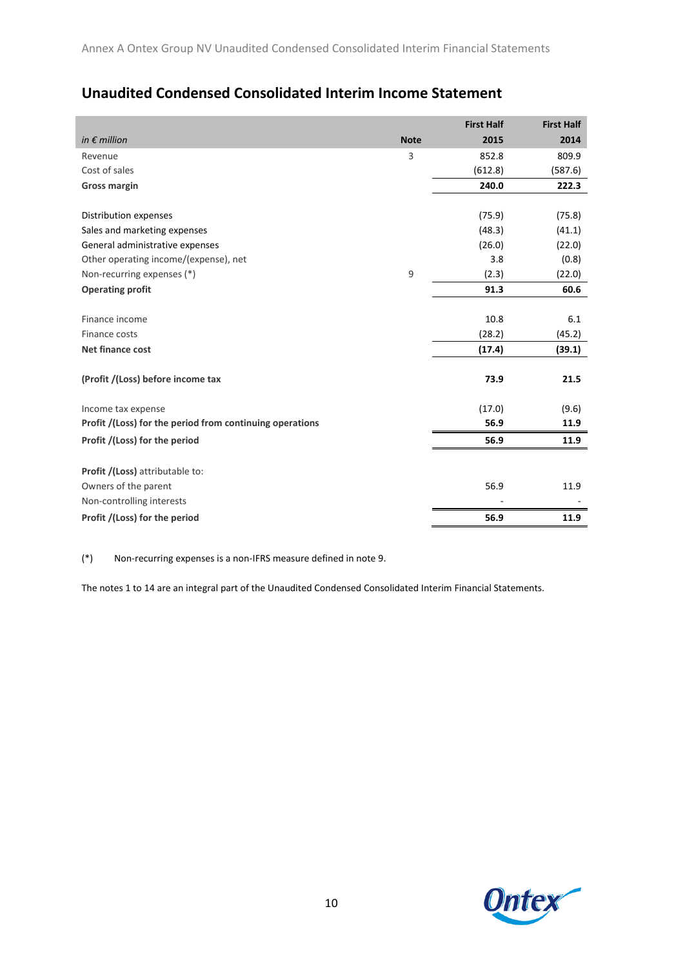# **Unaudited Condensed Consolidated Interim Income Statement**

|                                                          |             | <b>First Half</b> | <b>First Half</b> |
|----------------------------------------------------------|-------------|-------------------|-------------------|
| in $\epsilon$ million                                    | <b>Note</b> | 2015              | 2014              |
| Revenue                                                  | 3           | 852.8             | 809.9             |
| Cost of sales                                            |             | (612.8)           | (587.6)           |
| <b>Gross margin</b>                                      |             | 240.0             | 222.3             |
|                                                          |             |                   |                   |
| Distribution expenses                                    |             | (75.9)            | (75.8)            |
| Sales and marketing expenses                             |             | (48.3)            | (41.1)            |
| General administrative expenses                          |             | (26.0)            | (22.0)            |
| Other operating income/(expense), net                    |             | 3.8               | (0.8)             |
| Non-recurring expenses (*)                               | 9           | (2.3)             | (22.0)            |
| <b>Operating profit</b>                                  |             | 91.3              | 60.6              |
|                                                          |             |                   |                   |
| Finance income                                           |             | 10.8              | 6.1               |
| Finance costs                                            |             | (28.2)            | (45.2)            |
| Net finance cost                                         |             | (17.4)            | (39.1)            |
|                                                          |             |                   |                   |
| (Profit /(Loss) before income tax                        |             | 73.9              | 21.5              |
|                                                          |             |                   |                   |
| Income tax expense                                       |             | (17.0)            | (9.6)             |
| Profit /(Loss) for the period from continuing operations |             | 56.9              | 11.9              |
| Profit /(Loss) for the period                            |             | 56.9              | 11.9              |
|                                                          |             |                   |                   |
| Profit /(Loss) attributable to:                          |             |                   |                   |
| Owners of the parent                                     |             | 56.9              | 11.9              |
| Non-controlling interests                                |             |                   |                   |
| Profit /(Loss) for the period                            |             | 56.9              | 11.9              |

(\*) Non-recurring expenses is a non-IFRS measure defined in note 9.

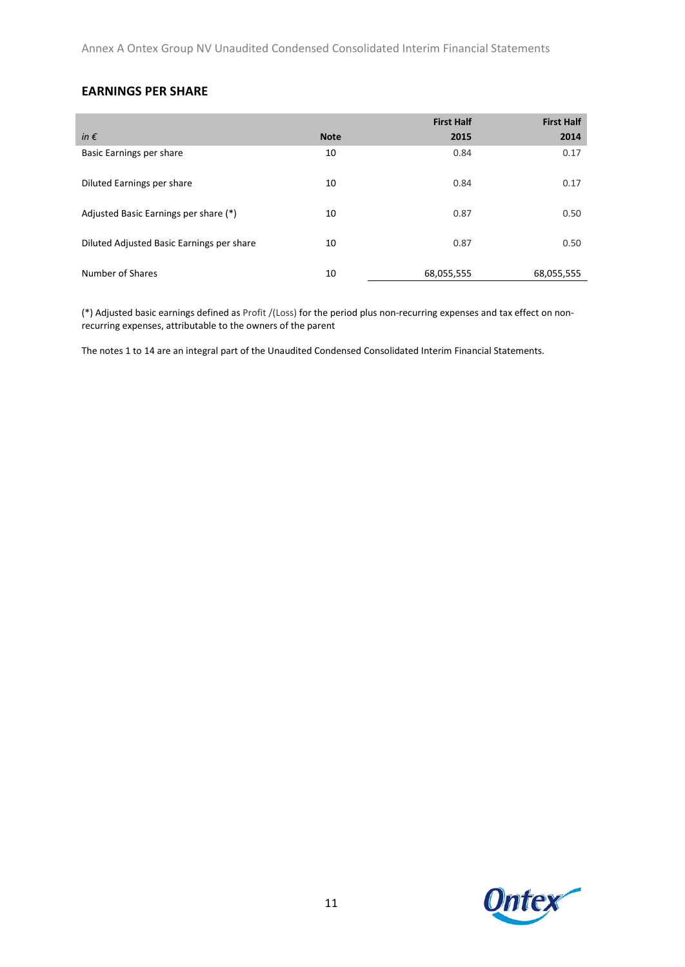Annex A Ontex Group NV Unaudited Condensed Consolidated Interim Financial Statements

### **EARNINGS PER SHARE**

|                                           |             | <b>First Half</b> | <b>First Half</b> |
|-------------------------------------------|-------------|-------------------|-------------------|
| in $\epsilon$                             | <b>Note</b> | 2015              | 2014              |
| Basic Earnings per share                  | 10          | 0.84              | 0.17              |
| Diluted Earnings per share                | 10          | 0.84              | 0.17              |
| Adjusted Basic Earnings per share (*)     | 10          | 0.87              | 0.50              |
| Diluted Adjusted Basic Earnings per share | 10          | 0.87              | 0.50              |
| Number of Shares                          | 10          | 68,055,555        | 68,055,555        |

(\*) Adjusted basic earnings defined as Profit /(Loss) for the period plus non-recurring expenses and tax effect on nonrecurring expenses, attributable to the owners of the parent

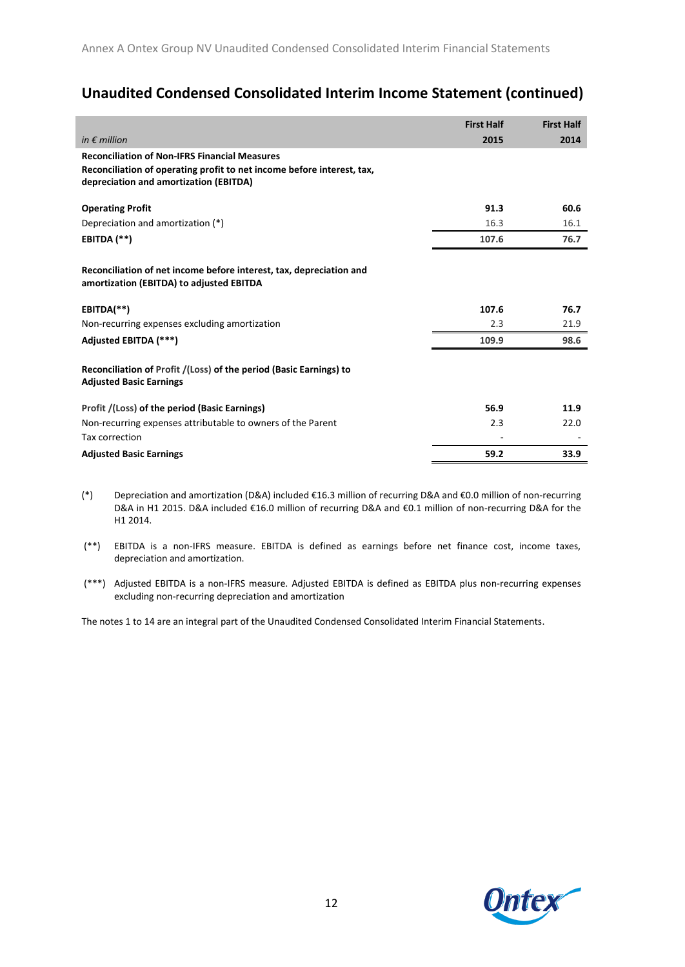# **Unaudited Condensed Consolidated Interim Income Statement (continued)**

|                                                                                                                                                                          | <b>First Half</b> | <b>First Half</b> |
|--------------------------------------------------------------------------------------------------------------------------------------------------------------------------|-------------------|-------------------|
| in $\epsilon$ million                                                                                                                                                    | 2015              | 2014              |
| <b>Reconciliation of Non-IFRS Financial Measures</b><br>Reconciliation of operating profit to net income before interest, tax,<br>depreciation and amortization (EBITDA) |                   |                   |
| <b>Operating Profit</b>                                                                                                                                                  | 91.3              | 60.6              |
| Depreciation and amortization (*)                                                                                                                                        | 16.3              | 16.1              |
| EBITDA (**)                                                                                                                                                              | 107.6             | 76.7              |
| Reconciliation of net income before interest, tax, depreciation and<br>amortization (EBITDA) to adjusted EBITDA                                                          |                   |                   |
| EBITDA(**)                                                                                                                                                               | 107.6             | 76.7              |
| Non-recurring expenses excluding amortization                                                                                                                            | 2.3               | 21.9              |
| Adjusted EBITDA (***)                                                                                                                                                    | 109.9             | 98.6              |
| Reconciliation of Profit /(Loss) of the period (Basic Earnings) to<br><b>Adjusted Basic Earnings</b>                                                                     |                   |                   |
| Profit /(Loss) of the period (Basic Earnings)                                                                                                                            | 56.9              | 11.9              |
| Non-recurring expenses attributable to owners of the Parent                                                                                                              | 2.3               | 22.0              |
| Tax correction                                                                                                                                                           |                   |                   |
| <b>Adjusted Basic Earnings</b>                                                                                                                                           | 59.2              | 33.9              |

- (\*) Depreciation and amortization (D&A) included €16.3 million of recurring D&A and €0.0 million of non-recurring D&A in H1 2015. D&A included €16.0 million of recurring D&A and €0.1 million of non-recurring D&A for the H1 2014.
- (\*\*) EBITDA is a non-IFRS measure. EBITDA is defined as earnings before net finance cost, income taxes, depreciation and amortization.
- (\*\*\*) Adjusted EBITDA is a non-IFRS measure. Adjusted EBITDA is defined as EBITDA plus non-recurring expenses excluding non-recurring depreciation and amortization

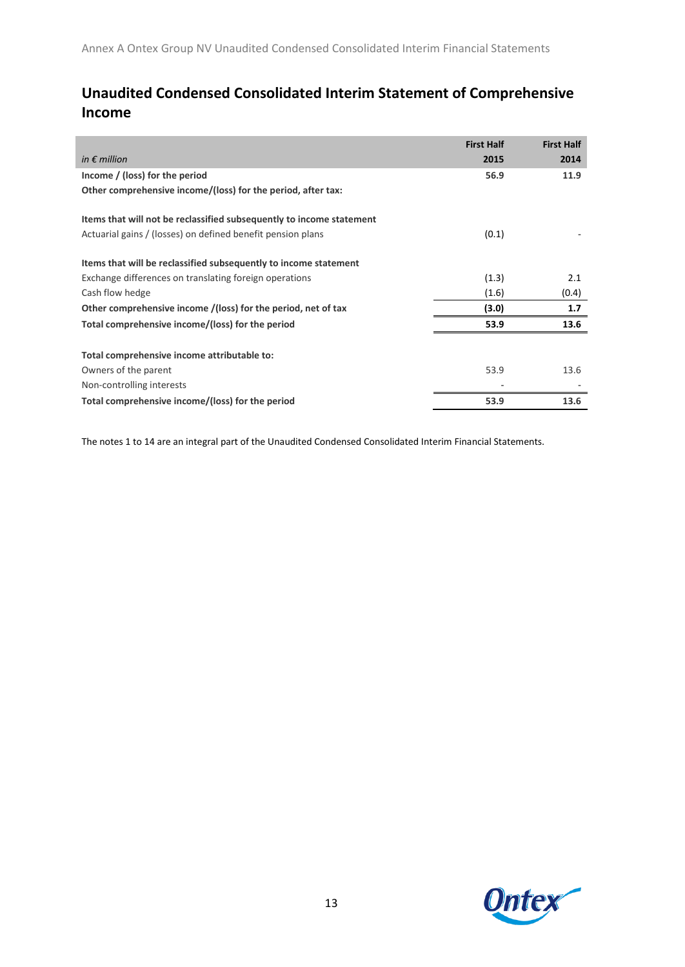# **Unaudited Condensed Consolidated Interim Statement of Comprehensive Income**

|                                                                      | <b>First Half</b> | <b>First Half</b> |
|----------------------------------------------------------------------|-------------------|-------------------|
| in $\epsilon$ million                                                | 2015              | 2014              |
| Income / (loss) for the period                                       | 56.9              | 11.9              |
| Other comprehensive income/(loss) for the period, after tax:         |                   |                   |
| Items that will not be reclassified subsequently to income statement |                   |                   |
| Actuarial gains / (losses) on defined benefit pension plans          | (0.1)             |                   |
| Items that will be reclassified subsequently to income statement     |                   |                   |
| Exchange differences on translating foreign operations               | (1.3)             | 2.1               |
| Cash flow hedge                                                      | (1.6)             | (0.4)             |
| Other comprehensive income /(loss) for the period, net of tax        | (3.0)             | 1.7               |
| Total comprehensive income/(loss) for the period                     | 53.9              | 13.6              |
| Total comprehensive income attributable to:                          |                   |                   |
| Owners of the parent                                                 | 53.9              | 13.6              |
| Non-controlling interests                                            |                   |                   |
| Total comprehensive income/(loss) for the period                     | 53.9              | 13.6              |

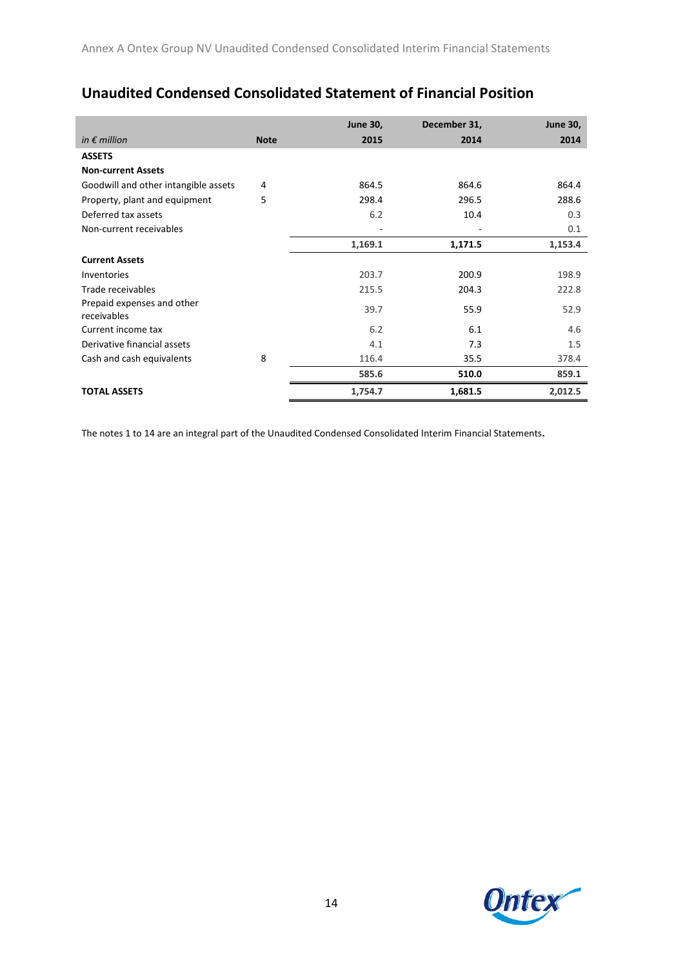|                                           |             | <b>June 30,</b> | December 31, | <b>June 30,</b> |
|-------------------------------------------|-------------|-----------------|--------------|-----------------|
| in $\epsilon$ million                     | <b>Note</b> | 2015            | 2014         | 2014            |
| <b>ASSETS</b>                             |             |                 |              |                 |
| <b>Non-current Assets</b>                 |             |                 |              |                 |
| Goodwill and other intangible assets      | 4           | 864.5           | 864.6        | 864.4           |
| Property, plant and equipment             | 5           | 298.4           | 296.5        | 288.6           |
| Deferred tax assets                       |             | 6.2             | 10.4         | 0.3             |
| Non-current receivables                   |             |                 |              | 0.1             |
|                                           |             | 1,169.1         | 1,171.5      | 1,153.4         |
| <b>Current Assets</b>                     |             |                 |              |                 |
| <b>Inventories</b>                        |             | 203.7           | 200.9        | 198.9           |
| Trade receivables                         |             | 215.5           | 204.3        | 222.8           |
| Prepaid expenses and other<br>receivables |             | 39.7            | 55.9         | 52.9            |
| Current income tax                        |             | 6.2             | 6.1          | 4.6             |
| Derivative financial assets               |             | 4.1             | 7.3          | 1.5             |

Cash and cash equivalents **8** 116.4 35.5 378.4

**TOTAL ASSETS 1,754.7 1,681.5 2,012.5**

**585.6 510.0 859.1**

 $\overline{\phantom{0}}$ 

# **Unaudited Condensed Consolidated Statement of Financial Position**

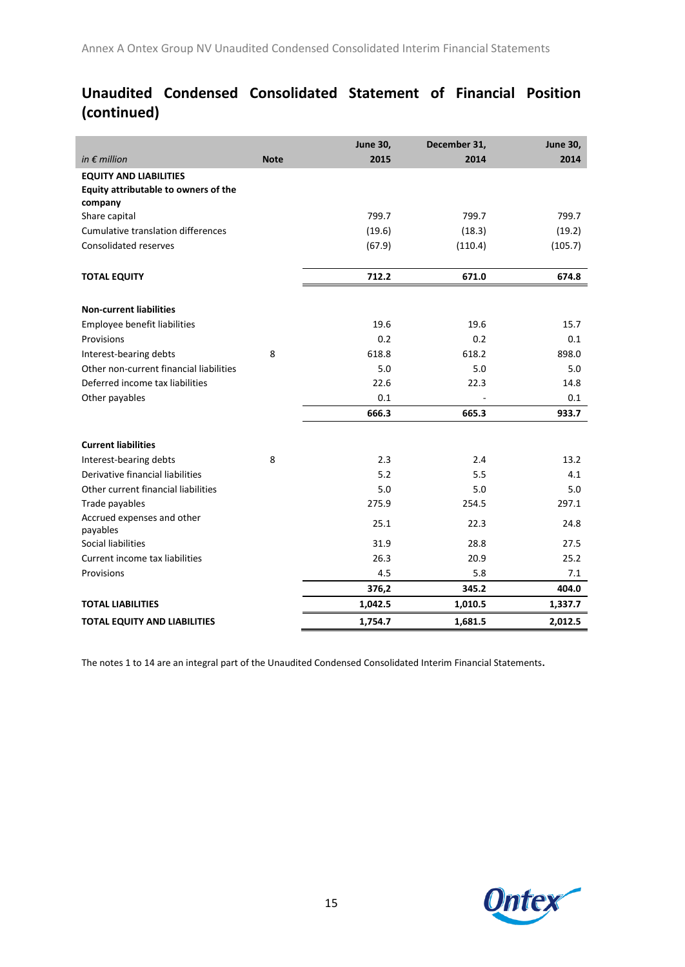# **Unaudited Condensed Consolidated Statement of Financial Position (continued)**

|                                         |             | <b>June 30,</b> | December 31, | <b>June 30,</b> |
|-----------------------------------------|-------------|-----------------|--------------|-----------------|
| in $\epsilon$ million                   | <b>Note</b> | 2015            | 2014         | 2014            |
| <b>EQUITY AND LIABILITIES</b>           |             |                 |              |                 |
| Equity attributable to owners of the    |             |                 |              |                 |
| company                                 |             |                 |              |                 |
| Share capital                           |             | 799.7           | 799.7        | 799.7           |
| Cumulative translation differences      |             | (19.6)          | (18.3)       | (19.2)          |
| Consolidated reserves                   |             | (67.9)          | (110.4)      | (105.7)         |
| <b>TOTAL EQUITY</b>                     |             | 712.2           | 671.0        | 674.8           |
|                                         |             |                 |              |                 |
| <b>Non-current liabilities</b>          |             |                 |              |                 |
| Employee benefit liabilities            |             | 19.6            | 19.6         | 15.7            |
| Provisions                              |             | 0.2             | 0.2          | 0.1             |
| Interest-bearing debts                  | 8           | 618.8           | 618.2        | 898.0           |
| Other non-current financial liabilities |             | 5.0             | 5.0          | 5.0             |
| Deferred income tax liabilities         |             | 22.6            | 22.3         | 14.8            |
| Other payables                          |             | 0.1             |              | 0.1             |
|                                         |             | 666.3           | 665.3        | 933.7           |
| <b>Current liabilities</b>              |             |                 |              |                 |
| Interest-bearing debts                  | 8           | 2.3             | 2.4          | 13.2            |
| Derivative financial liabilities        |             | 5.2             | 5.5          | 4.1             |
| Other current financial liabilities     |             | 5.0             | 5.0          | 5.0             |
| Trade payables                          |             | 275.9           | 254.5        | 297.1           |
| Accrued expenses and other              |             |                 |              |                 |
| payables                                |             | 25.1            | 22.3         | 24.8            |
| Social liabilities                      |             | 31.9            | 28.8         | 27.5            |
| Current income tax liabilities          |             | 26.3            | 20.9         | 25.2            |
| Provisions                              |             | 4.5             | 5.8          | 7.1             |
|                                         |             | 376,2           | 345.2        | 404.0           |
| <b>TOTAL LIABILITIES</b>                |             | 1,042.5         | 1,010.5      | 1,337.7         |
| <b>TOTAL EQUITY AND LIABILITIES</b>     |             | 1,754.7         | 1,681.5      | 2,012.5         |

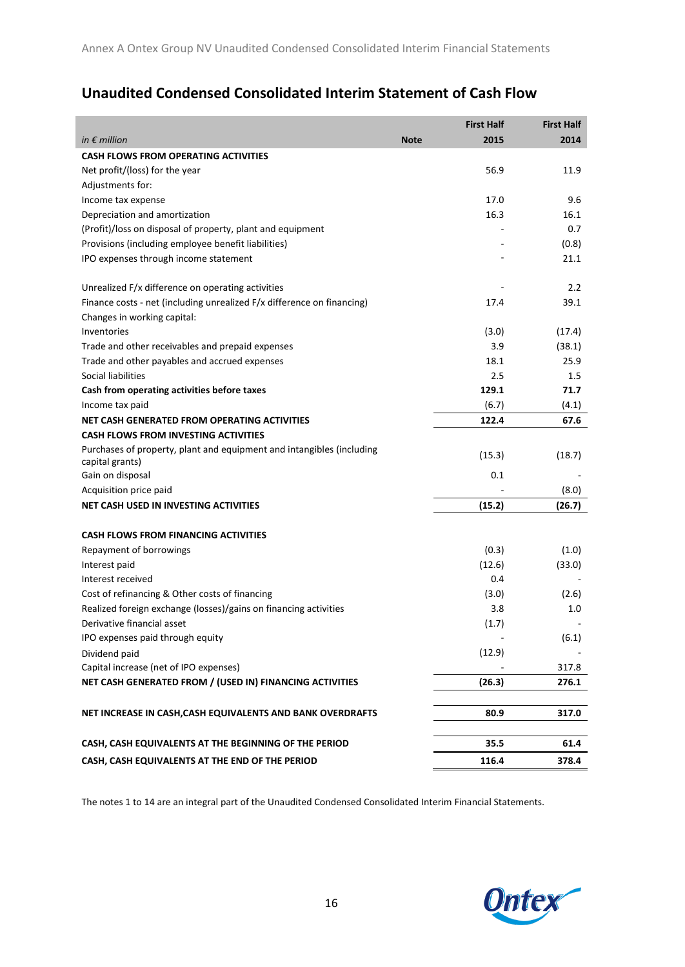# **Unaudited Condensed Consolidated Interim Statement of Cash Flow**

|                                                                                          | <b>First Half</b>   | <b>First Half</b> |
|------------------------------------------------------------------------------------------|---------------------|-------------------|
| in $\epsilon$ million                                                                    | 2015<br><b>Note</b> | 2014              |
| <b>CASH FLOWS FROM OPERATING ACTIVITIES</b>                                              |                     |                   |
| Net profit/(loss) for the year                                                           |                     | 56.9<br>11.9      |
| Adjustments for:                                                                         |                     |                   |
| Income tax expense                                                                       |                     | 9.6<br>17.0       |
| Depreciation and amortization                                                            |                     | 16.3<br>16.1      |
| (Profit)/loss on disposal of property, plant and equipment                               |                     | 0.7               |
| Provisions (including employee benefit liabilities)                                      |                     | (0.8)             |
| IPO expenses through income statement                                                    |                     | 21.1              |
| Unrealized F/x difference on operating activities                                        |                     | 2.2               |
| Finance costs - net (including unrealized F/x difference on financing)                   | 17.4                | 39.1              |
| Changes in working capital:                                                              |                     |                   |
| Inventories                                                                              | (3.0)               | (17.4)            |
| Trade and other receivables and prepaid expenses                                         |                     | 3.9<br>(38.1)     |
| Trade and other payables and accrued expenses                                            |                     | 18.1<br>25.9      |
| Social liabilities                                                                       |                     | 2.5<br>1.5        |
| Cash from operating activities before taxes                                              | 129.1               | 71.7              |
| Income tax paid                                                                          | (6.7)               | (4.1)             |
| NET CASH GENERATED FROM OPERATING ACTIVITIES                                             | 122.4               | 67.6              |
| <b>CASH FLOWS FROM INVESTING ACTIVITIES</b>                                              |                     |                   |
| Purchases of property, plant and equipment and intangibles (including<br>capital grants) | (15.3)              | (18.7)            |
| Gain on disposal                                                                         |                     | 0.1               |
| Acquisition price paid                                                                   |                     | (8.0)             |
| <b>NET CASH USED IN INVESTING ACTIVITIES</b>                                             | (15.2)              | (26.7)            |
| <b>CASH FLOWS FROM FINANCING ACTIVITIES</b>                                              |                     |                   |
| Repayment of borrowings                                                                  | (0.3)               | (1.0)             |
| Interest paid                                                                            | (12.6)              | (33.0)            |
| Interest received                                                                        |                     | 0.4               |
| Cost of refinancing & Other costs of financing                                           | (3.0)               | (2.6)             |
| Realized foreign exchange (losses)/gains on financing activities                         |                     | 3.8<br>1.0        |
| Derivative financial asset                                                               | (1.7)               |                   |
| IPO expenses paid through equity                                                         |                     | (6.1)             |
| Dividend paid                                                                            | (12.9)              |                   |
| Capital increase (net of IPO expenses)                                                   |                     | 317.8             |
| NET CASH GENERATED FROM / (USED IN) FINANCING ACTIVITIES                                 | (26.3)              | 276.1             |
| NET INCREASE IN CASH, CASH EQUIVALENTS AND BANK OVERDRAFTS                               | 80.9                | 317.0             |
|                                                                                          |                     |                   |
| CASH, CASH EQUIVALENTS AT THE BEGINNING OF THE PERIOD                                    |                     | 35.5<br>61.4      |
| CASH, CASH EQUIVALENTS AT THE END OF THE PERIOD                                          | 116.4               | 378.4             |

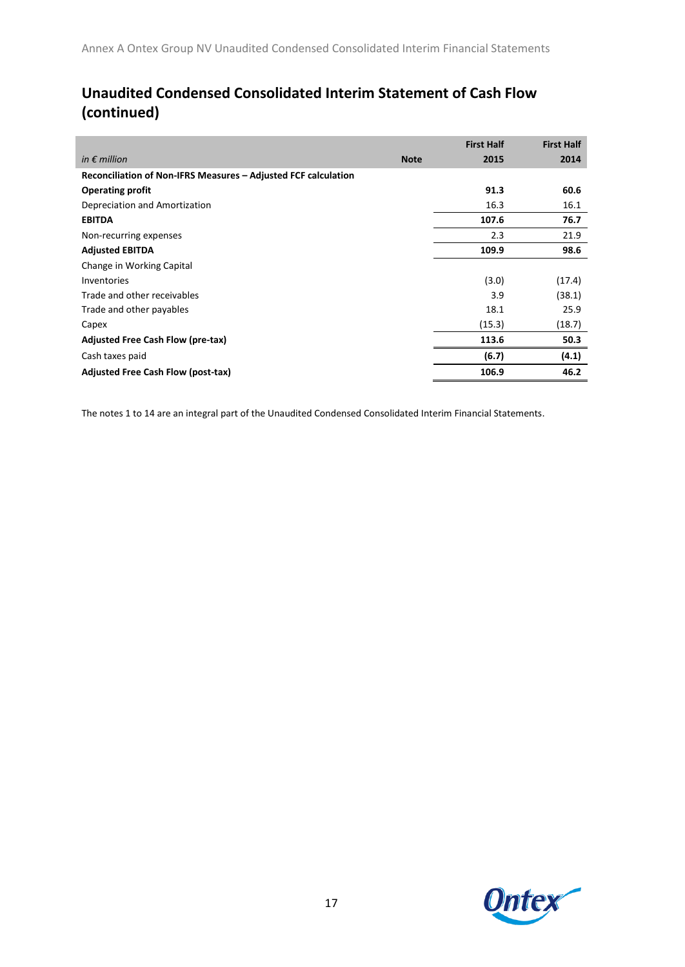# **Unaudited Condensed Consolidated Interim Statement of Cash Flow (continued)**

|                                                                |             | <b>First Half</b> | <b>First Half</b> |
|----------------------------------------------------------------|-------------|-------------------|-------------------|
| in $\epsilon$ million                                          | <b>Note</b> | 2015              | 2014              |
| Reconciliation of Non-IFRS Measures - Adjusted FCF calculation |             |                   |                   |
| <b>Operating profit</b>                                        |             | 91.3              | 60.6              |
| Depreciation and Amortization                                  |             | 16.3              | 16.1              |
| <b>EBITDA</b>                                                  |             | 107.6             | 76.7              |
| Non-recurring expenses                                         |             | 2.3               | 21.9              |
| <b>Adjusted EBITDA</b>                                         |             | 109.9             | 98.6              |
| Change in Working Capital                                      |             |                   |                   |
| Inventories                                                    |             | (3.0)             | (17.4)            |
| Trade and other receivables                                    |             | 3.9               | (38.1)            |
| Trade and other payables                                       |             | 18.1              | 25.9              |
| Capex                                                          |             | (15.3)            | (18.7)            |
| Adjusted Free Cash Flow (pre-tax)                              |             | 113.6             | 50.3              |
| Cash taxes paid                                                |             | (6.7)             | (4.1)             |
| <b>Adjusted Free Cash Flow (post-tax)</b>                      |             | 106.9             | 46.2              |

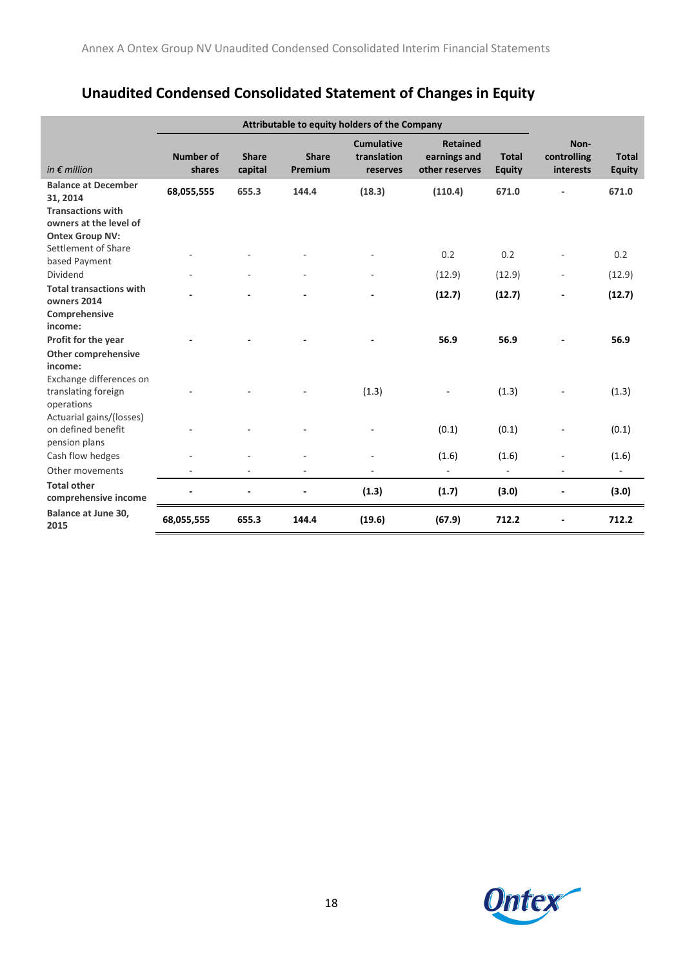# **Unaudited Condensed Consolidated Statement of Changes in Equity**

|                                                                                                     | Attributable to equity holders of the Company |                         |                         |                                              |                                                   |                               |                                  |                               |
|-----------------------------------------------------------------------------------------------------|-----------------------------------------------|-------------------------|-------------------------|----------------------------------------------|---------------------------------------------------|-------------------------------|----------------------------------|-------------------------------|
| in $\epsilon$ million                                                                               | <b>Number of</b><br>shares                    | <b>Share</b><br>capital | <b>Share</b><br>Premium | <b>Cumulative</b><br>translation<br>reserves | <b>Retained</b><br>earnings and<br>other reserves | <b>Total</b><br><b>Equity</b> | Non-<br>controlling<br>interests | <b>Total</b><br><b>Equity</b> |
| <b>Balance at December</b><br>31, 2014                                                              | 68,055,555                                    | 655.3                   | 144.4                   | (18.3)                                       | (110.4)                                           | 671.0                         |                                  | 671.0                         |
| <b>Transactions with</b><br>owners at the level of<br><b>Ontex Group NV:</b><br>Settlement of Share |                                               |                         |                         |                                              |                                                   |                               |                                  |                               |
| based Payment                                                                                       |                                               |                         |                         |                                              | 0.2                                               | 0.2                           |                                  | 0.2                           |
| Dividend                                                                                            |                                               |                         |                         |                                              | (12.9)                                            | (12.9)                        |                                  | (12.9)                        |
| <b>Total transactions with</b><br>owners 2014                                                       |                                               |                         |                         |                                              | (12.7)                                            | (12.7)                        |                                  | (12.7)                        |
| Comprehensive<br>income:<br>Profit for the year<br><b>Other comprehensive</b><br>income:            |                                               |                         |                         |                                              | 56.9                                              | 56.9                          |                                  | 56.9                          |
| Exchange differences on<br>translating foreign<br>operations                                        |                                               |                         |                         | (1.3)                                        |                                                   | (1.3)                         |                                  | (1.3)                         |
| Actuarial gains/(losses)<br>on defined benefit<br>pension plans                                     |                                               |                         |                         |                                              | (0.1)                                             | (0.1)                         |                                  | (0.1)                         |
| Cash flow hedges                                                                                    |                                               |                         |                         |                                              | (1.6)                                             | (1.6)                         |                                  | (1.6)                         |
| Other movements                                                                                     |                                               |                         |                         |                                              | $\overline{\phantom{a}}$                          | $\blacksquare$                |                                  | $\blacksquare$                |
| <b>Total other</b><br>comprehensive income                                                          |                                               |                         |                         | (1.3)                                        | (1.7)                                             | (3.0)                         |                                  | (3.0)                         |
| <b>Balance at June 30.</b><br>2015                                                                  | 68,055,555                                    | 655.3                   | 144.4                   | (19.6)                                       | (67.9)                                            | 712.2                         |                                  | 712.2                         |

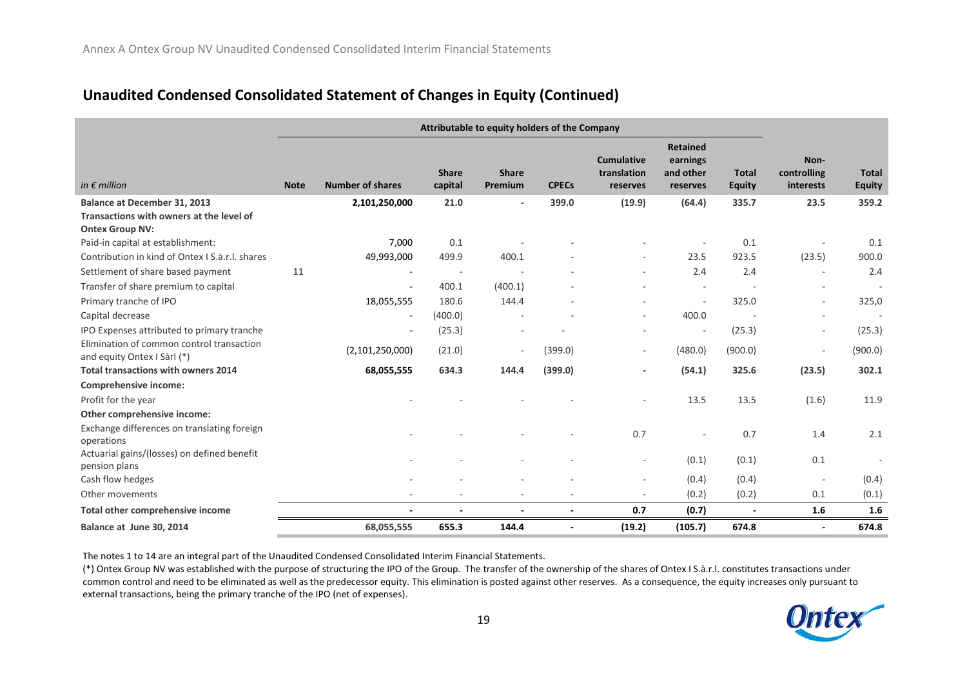# **Unaudited Condensed Consolidated Statement of Changes in Equity (Continued)**

|                                                                                                    | Attributable to equity holders of the Company |                          |                         |                         |              |                                              |                                                      |                               |                                  |                               |
|----------------------------------------------------------------------------------------------------|-----------------------------------------------|--------------------------|-------------------------|-------------------------|--------------|----------------------------------------------|------------------------------------------------------|-------------------------------|----------------------------------|-------------------------------|
| in $\epsilon$ million                                                                              | <b>Note</b>                                   | <b>Number of shares</b>  | <b>Share</b><br>capital | <b>Share</b><br>Premium | <b>CPECs</b> | <b>Cumulative</b><br>translation<br>reserves | <b>Retained</b><br>earnings<br>and other<br>reserves | <b>Total</b><br><b>Equity</b> | Non-<br>controlling<br>interests | <b>Total</b><br><b>Equity</b> |
| Balance at December 31, 2013<br>Transactions with owners at the level of<br><b>Ontex Group NV:</b> |                                               | 2,101,250,000            | 21.0                    | $\blacksquare$          | 399.0        | (19.9)                                       | (64.4)                                               | 335.7                         | 23.5                             | 359.2                         |
| Paid-in capital at establishment:                                                                  |                                               | 7.000                    | 0.1                     |                         |              |                                              |                                                      | 0.1                           | ÷,                               | 0.1                           |
| Contribution in kind of Ontex J S.à.r.J. shares                                                    |                                               | 49,993,000               | 499.9                   | 400.1                   |              |                                              | 23.5                                                 | 923.5                         | (23.5)                           | 900.0                         |
| Settlement of share based payment                                                                  | 11                                            |                          | ÷,                      | ÷.                      |              | ٠                                            | 2.4                                                  | 2.4                           | $\overline{\phantom{a}}$         | 2.4                           |
| Transfer of share premium to capital                                                               |                                               | $\overline{\phantom{a}}$ | 400.1                   | (400.1)                 |              | $\overline{\phantom{m}}$                     | $\sim$                                               |                               | ۰                                | $\overline{\phantom{a}}$      |
| Primary tranche of IPO                                                                             |                                               | 18,055,555               | 180.6                   | 144.4                   |              |                                              |                                                      | 325.0                         | $\overline{\phantom{a}}$         | 325,0                         |
| Capital decrease                                                                                   |                                               | $\overline{\phantom{a}}$ | (400.0)                 |                         |              | $\overline{\phantom{m}}$                     | 400.0                                                |                               |                                  |                               |
| IPO Expenses attributed to primary tranche                                                         |                                               | $\sim$                   | (25.3)                  |                         |              |                                              | $\sim$                                               | (25.3)                        | $\overline{\phantom{a}}$         | (25.3)                        |
| Elimination of common control transaction<br>and equity Ontex I Sàrl (*)                           |                                               | (2,101,250,000)          | (21.0)                  | $\sim$                  | (399.0)      | ٠                                            | (480.0)                                              | (900.0)                       | $\overline{\phantom{m}}$         | (900.0)                       |
| <b>Total transactions with owners 2014</b>                                                         |                                               | 68,055,555               | 634.3                   | 144.4                   | (399.0)      | $\overline{\phantom{a}}$                     | (54.1)                                               | 325.6                         | (23.5)                           | 302.1                         |
| <b>Comprehensive income:</b>                                                                       |                                               |                          |                         |                         |              |                                              |                                                      |                               |                                  |                               |
| Profit for the year                                                                                |                                               |                          |                         |                         |              |                                              | 13.5                                                 | 13.5                          | (1.6)                            | 11.9                          |
| Other comprehensive income:                                                                        |                                               |                          |                         |                         |              |                                              |                                                      |                               |                                  |                               |
| Exchange differences on translating foreign<br>operations                                          |                                               |                          |                         |                         |              | 0.7                                          | $\overline{a}$                                       | 0.7                           | 1.4                              | 2.1                           |
| Actuarial gains/(losses) on defined benefit<br>pension plans                                       |                                               |                          |                         |                         |              | $\overline{\phantom{a}}$                     | (0.1)                                                | (0.1)                         | 0.1                              |                               |
| Cash flow hedges                                                                                   |                                               |                          |                         |                         |              | $\overline{\phantom{a}}$                     | (0.4)                                                | (0.4)                         | $\overline{\phantom{a}}$         | (0.4)                         |
| Other movements                                                                                    |                                               |                          |                         |                         |              | $\overline{\phantom{a}}$                     | (0.2)                                                | (0.2)                         | 0.1                              | (0.1)                         |
| Total other comprehensive income                                                                   |                                               |                          |                         |                         |              | 0.7                                          | (0.7)                                                |                               | 1.6                              | 1.6                           |
| Balance at June 30, 2014                                                                           |                                               | 68,055,555               | 655.3                   | 144.4                   |              | (19.2)                                       | (105.7)                                              | 674.8                         | $\blacksquare$                   | 674.8                         |

The notes 1 to 14 are an integral part of the Unaudited Condensed Consolidated Interim Financial Statements.

(\*) Ontex Group NV was established with the purpose of structuring the IPO of the Group. The transfer of the ownership of the shares of Ontex I S.à.r.l. constitutes transactions under common control and need to be eliminated as well as the predecessor equity. This elimination is posted against other reserves. As a consequence, the equity increases only pursuant to external transactions, being the primary tranche of the IPO (net of expenses).

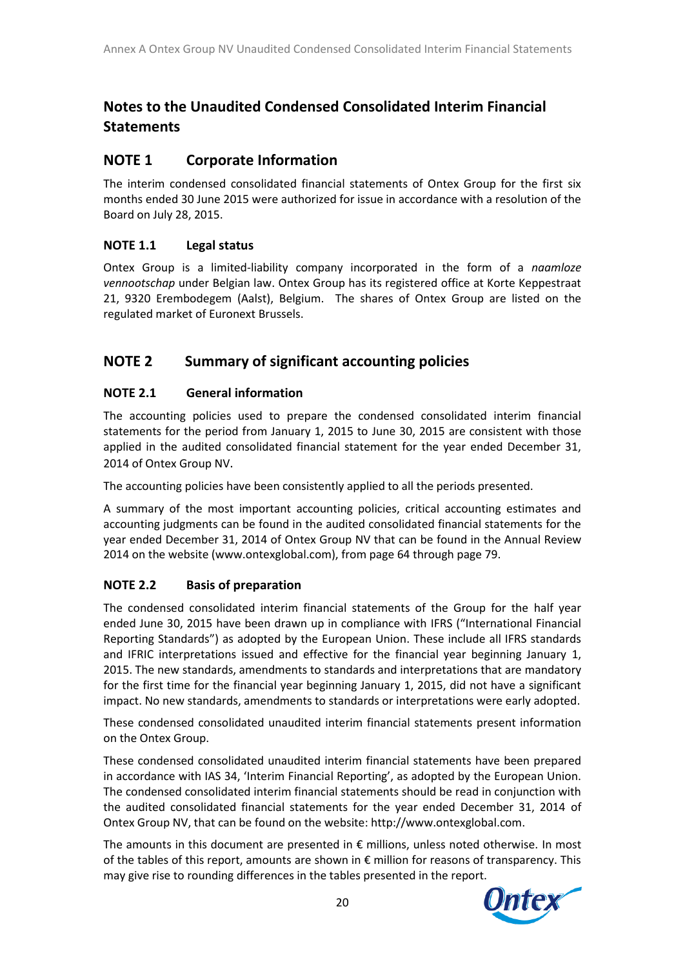# **Notes to the Unaudited Condensed Consolidated Interim Financial Statements**

# **NOTE 1 Corporate Information**

The interim condensed consolidated financial statements of Ontex Group for the first six months ended 30 June 2015 were authorized for issue in accordance with a resolution of the Board on July 28, 2015.

### **NOTE 1.1 Legal status**

Ontex Group is a limited-liability company incorporated in the form of a *naamloze vennootschap* under Belgian law. Ontex Group has its registered office at Korte Keppestraat 21, 9320 Erembodegem (Aalst), Belgium. The shares of Ontex Group are listed on the regulated market of Euronext Brussels.

### **NOTE 2 Summary of significant accounting policies**

### **NOTE 2.1 General information**

The accounting policies used to prepare the condensed consolidated interim financial statements for the period from January 1, 2015 to June 30, 2015 are consistent with those applied in the audited consolidated financial statement for the year ended December 31, 2014 of Ontex Group NV.

The accounting policies have been consistently applied to all the periods presented.

A summary of the most important accounting policies, critical accounting estimates and accounting judgments can be found in the audited consolidated financial statements for the year ended December 31, 2014 of Ontex Group NV that can be found in the Annual Review 2014 on the website (www.ontexglobal.com), from page 64 through page 79.

### **NOTE 2.2 Basis of preparation**

The condensed consolidated interim financial statements of the Group for the half year ended June 30, 2015 have been drawn up in compliance with IFRS ("International Financial Reporting Standards") as adopted by the European Union. These include all IFRS standards and IFRIC interpretations issued and effective for the financial year beginning January 1, 2015. The new standards, amendments to standards and interpretations that are mandatory for the first time for the financial year beginning January 1, 2015, did not have a significant impact. No new standards, amendments to standards or interpretations were early adopted.

These condensed consolidated unaudited interim financial statements present information on the Ontex Group.

These condensed consolidated unaudited interim financial statements have been prepared in accordance with IAS 34, 'Interim Financial Reporting', as adopted by the European Union. The condensed consolidated interim financial statements should be read in conjunction with the audited consolidated financial statements for the year ended December 31, 2014 of Ontex Group NV, that can be found on the website: http://www.ontexglobal.com.

The amounts in this document are presented in € millions, unless noted otherwise. In most of the tables of this report, amounts are shown in € million for reasons of transparency. This may give rise to rounding differences in the tables presented in the report.

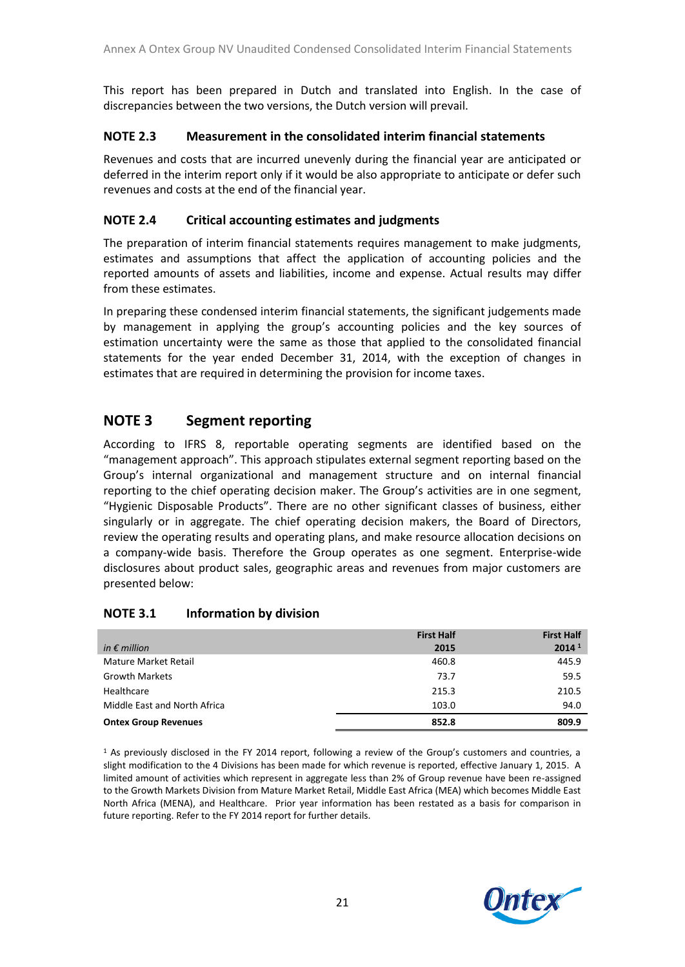This report has been prepared in Dutch and translated into English. In the case of discrepancies between the two versions, the Dutch version will prevail.

### **NOTE 2.3 Measurement in the consolidated interim financial statements**

Revenues and costs that are incurred unevenly during the financial year are anticipated or deferred in the interim report only if it would be also appropriate to anticipate or defer such revenues and costs at the end of the financial year.

### **NOTE 2.4 Critical accounting estimates and judgments**

The preparation of interim financial statements requires management to make judgments, estimates and assumptions that affect the application of accounting policies and the reported amounts of assets and liabilities, income and expense. Actual results may differ from these estimates.

In preparing these condensed interim financial statements, the significant judgements made by management in applying the group's accounting policies and the key sources of estimation uncertainty were the same as those that applied to the consolidated financial statements for the year ended December 31, 2014, with the exception of changes in estimates that are required in determining the provision for income taxes.

### **NOTE 3 Segment reporting**

According to IFRS 8, reportable operating segments are identified based on the "management approach". This approach stipulates external segment reporting based on the Group's internal organizational and management structure and on internal financial reporting to the chief operating decision maker. The Group's activities are in one segment, "Hygienic Disposable Products". There are no other significant classes of business, either singularly or in aggregate. The chief operating decision makers, the Board of Directors, review the operating results and operating plans, and make resource allocation decisions on a company-wide basis. Therefore the Group operates as one segment. Enterprise-wide disclosures about product sales, geographic areas and revenues from major customers are presented below:

### **NOTE 3.1 Information by division**

|                              | <b>First Half</b> | <b>First Half</b> |
|------------------------------|-------------------|-------------------|
| in $\epsilon$ million        | 2015              | 2014 <sup>1</sup> |
| Mature Market Retail         | 460.8             | 445.9             |
| <b>Growth Markets</b>        | 73.7              | 59.5              |
| Healthcare                   | 215.3             | 210.5             |
| Middle East and North Africa | 103.0             | 94.0              |
| <b>Ontex Group Revenues</b>  | 852.8             | 809.9             |

<sup>1</sup> As previously disclosed in the FY 2014 report, following a review of the Group's customers and countries, a slight modification to the 4 Divisions has been made for which revenue is reported, effective January 1, 2015. A limited amount of activities which represent in aggregate less than 2% of Group revenue have been re-assigned to the Growth Markets Division from Mature Market Retail, Middle East Africa (MEA) which becomes Middle East North Africa (MENA), and Healthcare. Prior year information has been restated as a basis for comparison in future reporting. Refer to the FY 2014 report for further details.

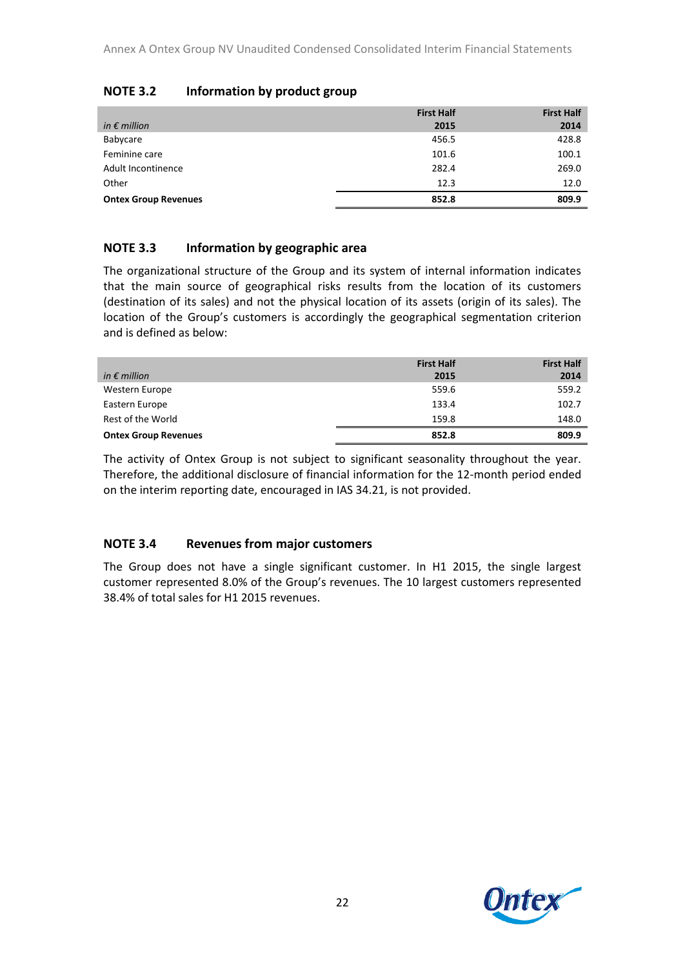|                             | <b>First Half</b> | <b>First Half</b> |
|-----------------------------|-------------------|-------------------|
| in $\epsilon$ million       | 2015              | 2014              |
| Babycare                    | 456.5             | 428.8             |
| Feminine care               | 101.6             | 100.1             |
| Adult Incontinence          | 282.4             | 269.0             |
| Other                       | 12.3              | 12.0              |
| <b>Ontex Group Revenues</b> | 852.8             | 809.9             |

### **NOTE 3.2 Information by product group**

### **NOTE 3.3 Information by geographic area**

The organizational structure of the Group and its system of internal information indicates that the main source of geographical risks results from the location of its customers (destination of its sales) and not the physical location of its assets (origin of its sales). The location of the Group's customers is accordingly the geographical segmentation criterion and is defined as below:

|                             | <b>First Half</b> | <b>First Half</b> |
|-----------------------------|-------------------|-------------------|
| in $\epsilon$ million       | 2015              | 2014              |
| Western Europe              | 559.6             | 559.2             |
| Eastern Europe              | 133.4             | 102.7             |
| Rest of the World           | 159.8             | 148.0             |
| <b>Ontex Group Revenues</b> | 852.8             | 809.9             |

The activity of Ontex Group is not subject to significant seasonality throughout the year. Therefore, the additional disclosure of financial information for the 12-month period ended on the interim reporting date, encouraged in IAS 34.21, is not provided.

### **NOTE 3.4 Revenues from major customers**

The Group does not have a single significant customer. In H1 2015, the single largest customer represented 8.0% of the Group's revenues. The 10 largest customers represented 38.4% of total sales for H1 2015 revenues.

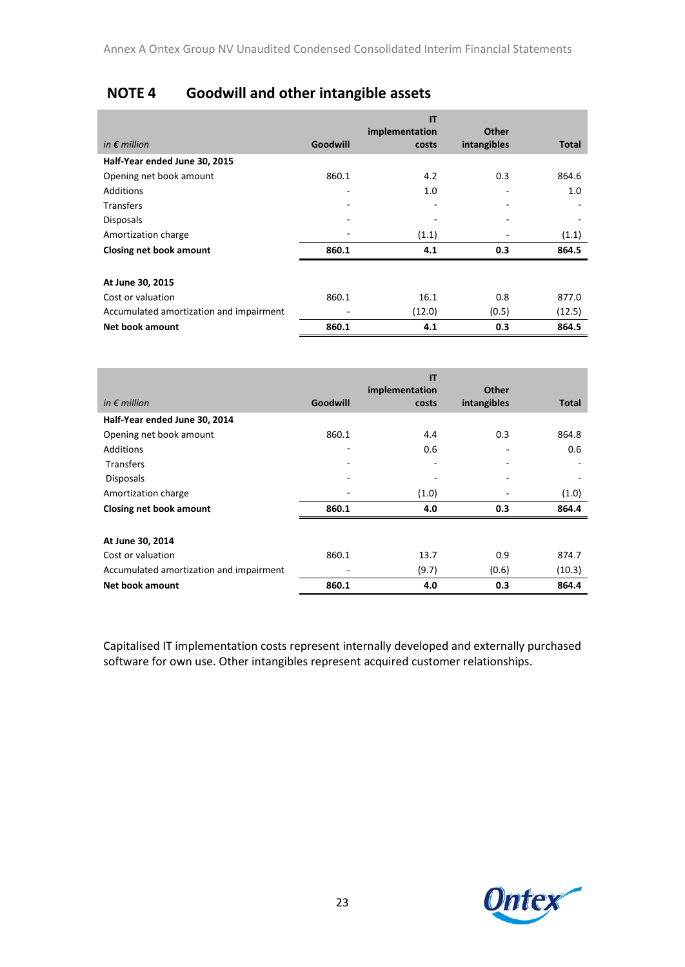# **NOTE 4 Goodwill and other intangible assets**

|                                         |          | IT<br>implementation | Other       |        |
|-----------------------------------------|----------|----------------------|-------------|--------|
| in $\epsilon$ million                   | Goodwill | costs                | intangibles | Total  |
| Half-Year ended June 30, 2015           |          |                      |             |        |
| Opening net book amount                 | 860.1    | 4.2                  | 0.3         | 864.6  |
| Additions                               |          | 1.0                  |             | 1.0    |
| <b>Transfers</b>                        |          |                      | ۰           |        |
| <b>Disposals</b>                        |          |                      | ٠           |        |
| Amortization charge                     |          | (1.1)                |             | (1.1)  |
| Closing net book amount                 | 860.1    | 4.1                  | 0.3         | 864.5  |
| At June 30, 2015                        |          |                      |             |        |
| Cost or valuation                       | 860.1    | 16.1                 | 0.8         | 877.0  |
| Accumulated amortization and impairment |          | (12.0)               | (0.5)       | (12.5) |
| Net book amount                         | 860.1    | 4.1                  | 0.3         | 864.5  |

|                                         |          | IT<br>implementation | Other       |        |
|-----------------------------------------|----------|----------------------|-------------|--------|
| in $\epsilon$ million                   | Goodwill | costs                | intangibles | Total  |
| Half-Year ended June 30, 2014           |          |                      |             |        |
| Opening net book amount                 | 860.1    | 4.4                  | 0.3         | 864.8  |
| Additions                               |          | 0.6                  |             | 0.6    |
| <b>Transfers</b>                        |          |                      |             |        |
| <b>Disposals</b>                        |          |                      | ۰           |        |
| Amortization charge                     |          | (1.0)                |             | (1.0)  |
| Closing net book amount                 | 860.1    | 4.0                  | 0.3         | 864.4  |
|                                         |          |                      |             |        |
| At June 30, 2014                        |          |                      |             |        |
| Cost or valuation                       | 860.1    | 13.7                 | 0.9         | 874.7  |
| Accumulated amortization and impairment |          | (9.7)                | (0.6)       | (10.3) |
| Net book amount                         | 860.1    | 4.0                  | 0.3         | 864.4  |

Capitalised IT implementation costs represent internally developed and externally purchased software for own use. Other intangibles represent acquired customer relationships.

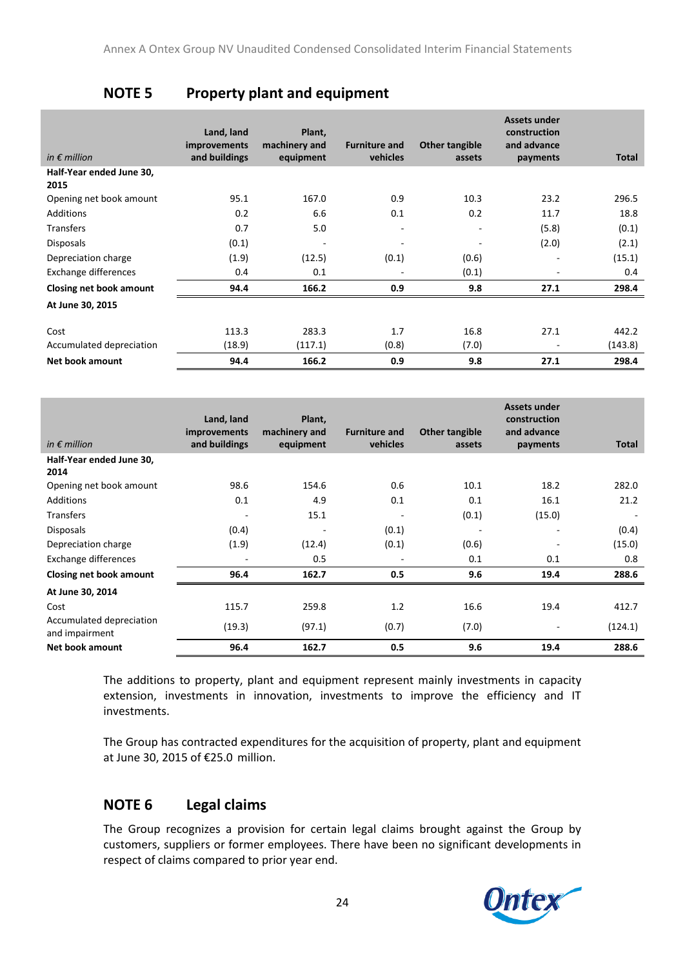# **NOTE 5 Property plant and equipment**

| in $\epsilon$ million            | Land, land<br>improvements<br>and buildings | Plant,<br>machinery and<br>equipment | <b>Furniture and</b><br>vehicles | Other tangible<br>assets | <b>Assets under</b><br>construction<br>and advance<br>payments | <b>Total</b> |
|----------------------------------|---------------------------------------------|--------------------------------------|----------------------------------|--------------------------|----------------------------------------------------------------|--------------|
| Half-Year ended June 30,<br>2015 |                                             |                                      |                                  |                          |                                                                |              |
| Opening net book amount          | 95.1                                        | 167.0                                | 0.9                              | 10.3                     | 23.2                                                           | 296.5        |
| <b>Additions</b>                 | 0.2                                         | 6.6                                  | 0.1                              | 0.2                      | 11.7                                                           | 18.8         |
| <b>Transfers</b>                 | 0.7                                         | 5.0                                  | $\overline{\phantom{a}}$         | $\overline{\phantom{a}}$ | (5.8)                                                          | (0.1)        |
| <b>Disposals</b>                 | (0.1)                                       | $\overline{\phantom{a}}$             | $\overline{\phantom{a}}$         | -                        | (2.0)                                                          | (2.1)        |
| Depreciation charge              | (1.9)                                       | (12.5)                               | (0.1)                            | (0.6)                    | $\overline{\phantom{a}}$                                       | (15.1)       |
| Exchange differences             | 0.4                                         | 0.1                                  | ٠                                | (0.1)                    |                                                                | 0.4          |
| Closing net book amount          | 94.4                                        | 166.2                                | 0.9                              | 9.8                      | 27.1                                                           | 298.4        |
| At June 30, 2015                 |                                             |                                      |                                  |                          |                                                                |              |
| Cost                             | 113.3                                       | 283.3                                | 1.7                              | 16.8                     | 27.1                                                           | 442.2        |
| Accumulated depreciation         | (18.9)                                      | (117.1)                              | (0.8)                            | (7.0)                    | $\overline{\phantom{a}}$                                       | (143.8)      |
| Net book amount                  | 94.4                                        | 166.2                                | 0.9                              | 9.8                      | 27.1                                                           | 298.4        |

|                                            | Land, land<br>improvements | Plant,<br>machinery and | <b>Furniture and</b> | Other tangible           | <b>Assets under</b><br>construction<br>and advance |              |
|--------------------------------------------|----------------------------|-------------------------|----------------------|--------------------------|----------------------------------------------------|--------------|
| in $\epsilon$ million                      | and buildings              | equipment               | vehicles             | assets                   | payments                                           | <b>Total</b> |
| Half-Year ended June 30,<br>2014           |                            |                         |                      |                          |                                                    |              |
| Opening net book amount                    | 98.6                       | 154.6                   | 0.6                  | 10.1                     | 18.2                                               | 282.0        |
| <b>Additions</b>                           | 0.1                        | 4.9                     | 0.1                  | 0.1                      | 16.1                                               | 21.2         |
| <b>Transfers</b>                           |                            | 15.1                    |                      | (0.1)                    | (15.0)                                             |              |
| <b>Disposals</b>                           | (0.4)                      | ۰                       | (0.1)                | $\overline{\phantom{a}}$ | ٠                                                  | (0.4)        |
| Depreciation charge                        | (1.9)                      | (12.4)                  | (0.1)                | (0.6)                    |                                                    | (15.0)       |
| <b>Exchange differences</b>                |                            | 0.5                     |                      | 0.1                      | 0.1                                                | 0.8          |
| Closing net book amount                    | 96.4                       | 162.7                   | 0.5                  | 9.6                      | 19.4                                               | 288.6        |
| At June 30, 2014                           |                            |                         |                      |                          |                                                    |              |
| Cost                                       | 115.7                      | 259.8                   | 1.2                  | 16.6                     | 19.4                                               | 412.7        |
| Accumulated depreciation<br>and impairment | (19.3)                     | (97.1)                  | (0.7)                | (7.0)                    | $\overline{a}$                                     | (124.1)      |
| Net book amount                            | 96.4                       | 162.7                   | 0.5                  | 9.6                      | 19.4                                               | 288.6        |

The additions to property, plant and equipment represent mainly investments in capacity extension, investments in innovation, investments to improve the efficiency and IT investments.

The Group has contracted expenditures for the acquisition of property, plant and equipment at June 30, 2015 of €25.0 million.

# **NOTE 6 Legal claims**

The Group recognizes a provision for certain legal claims brought against the Group by customers, suppliers or former employees. There have been no significant developments in respect of claims compared to prior year end.

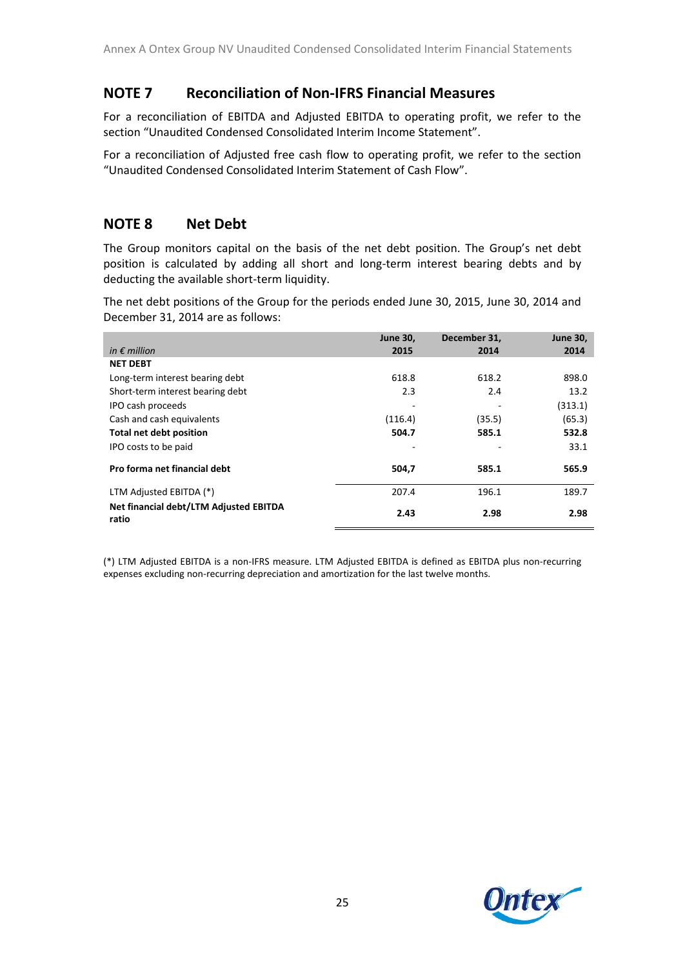# **NOTE 7 Reconciliation of Non-IFRS Financial Measures**

For a reconciliation of EBITDA and Adjusted EBITDA to operating profit, we refer to the section "Unaudited Condensed Consolidated Interim Income Statement".

For a reconciliation of Adjusted free cash flow to operating profit, we refer to the section "Unaudited Condensed Consolidated Interim Statement of Cash Flow".

# **NOTE 8 Net Debt**

The Group monitors capital on the basis of the net debt position. The Group's net debt position is calculated by adding all short and long-term interest bearing debts and by deducting the available short-term liquidity.

The net debt positions of the Group for the periods ended June 30, 2015, June 30, 2014 and December 31, 2014 are as follows:

|                                                 | <b>June 30,</b> | December 31, | <b>June 30,</b> |
|-------------------------------------------------|-----------------|--------------|-----------------|
| in $\epsilon$ million                           | 2015            | 2014         | 2014            |
| <b>NET DEBT</b>                                 |                 |              |                 |
| Long-term interest bearing debt                 | 618.8           | 618.2        | 898.0           |
| Short-term interest bearing debt                | 2.3             | 2.4          | 13.2            |
| IPO cash proceeds                               | -               | ۰            | (313.1)         |
| Cash and cash equivalents                       | (116.4)         | (35.5)       | (65.3)          |
| Total net debt position                         | 504.7           | 585.1        | 532.8           |
| IPO costs to be paid                            |                 |              | 33.1            |
| Pro forma net financial debt                    | 504,7           | 585.1        | 565.9           |
| LTM Adjusted EBITDA (*)                         | 207.4           | 196.1        | 189.7           |
| Net financial debt/LTM Adjusted EBITDA<br>ratio | 2.43            | 2.98         | 2.98            |

(\*) LTM Adjusted EBITDA is a non-IFRS measure. LTM Adjusted EBITDA is defined as EBITDA plus non-recurring expenses excluding non-recurring depreciation and amortization for the last twelve months.

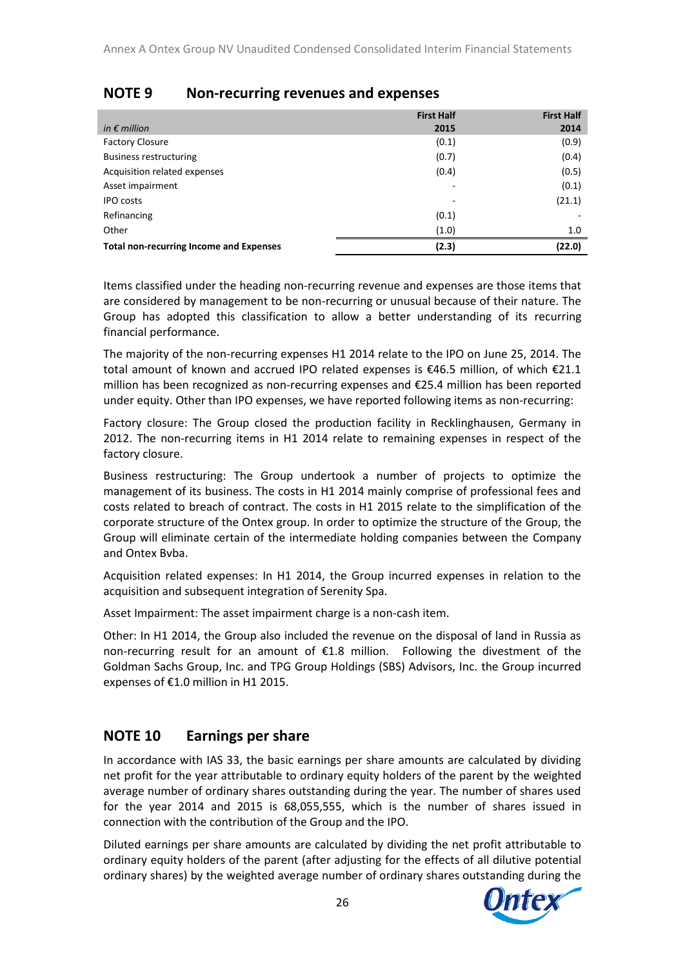|                                                | <b>First Half</b>        | <b>First Half</b> |
|------------------------------------------------|--------------------------|-------------------|
| in $\epsilon$ million                          | 2015                     | 2014              |
| <b>Factory Closure</b>                         | (0.1)                    | (0.9)             |
| <b>Business restructuring</b>                  | (0.7)                    | (0.4)             |
| Acquisition related expenses                   | (0.4)                    | (0.5)             |
| Asset impairment                               | $\overline{\phantom{a}}$ | (0.1)             |
| <b>IPO</b> costs                               |                          | (21.1)            |
| Refinancing                                    | (0.1)                    |                   |
| Other                                          | (1.0)                    | 1.0               |
| <b>Total non-recurring Income and Expenses</b> | (2.3)                    | (22.0)            |

# **NOTE 9 Non-recurring revenues and expenses**

Items classified under the heading non-recurring revenue and expenses are those items that are considered by management to be non-recurring or unusual because of their nature. The Group has adopted this classification to allow a better understanding of its recurring financial performance.

The majority of the non-recurring expenses H1 2014 relate to the IPO on June 25, 2014. The total amount of known and accrued IPO related expenses is €46.5 million, of which €21.1 million has been recognized as non-recurring expenses and €25.4 million has been reported under equity. Other than IPO expenses, we have reported following items as non-recurring:

Factory closure: The Group closed the production facility in Recklinghausen, Germany in 2012. The non-recurring items in H1 2014 relate to remaining expenses in respect of the factory closure.

Business restructuring: The Group undertook a number of projects to optimize the management of its business. The costs in H1 2014 mainly comprise of professional fees and costs related to breach of contract. The costs in H1 2015 relate to the simplification of the corporate structure of the Ontex group. In order to optimize the structure of the Group, the Group will eliminate certain of the intermediate holding companies between the Company and Ontex Bvba.

Acquisition related expenses: In H1 2014, the Group incurred expenses in relation to the acquisition and subsequent integration of Serenity Spa.

Asset Impairment: The asset impairment charge is a non-cash item.

Other: In H1 2014, the Group also included the revenue on the disposal of land in Russia as non-recurring result for an amount of €1.8 million. Following the divestment of the Goldman Sachs Group, Inc. and TPG Group Holdings (SBS) Advisors, Inc. the Group incurred expenses of €1.0 million in H1 2015.

# **NOTE 10 Earnings per share**

In accordance with IAS 33, the basic earnings per share amounts are calculated by dividing net profit for the year attributable to ordinary equity holders of the parent by the weighted average number of ordinary shares outstanding during the year. The number of shares used for the year 2014 and 2015 is 68,055,555, which is the number of shares issued in connection with the contribution of the Group and the IPO.

Diluted earnings per share amounts are calculated by dividing the net profit attributable to ordinary equity holders of the parent (after adjusting for the effects of all dilutive potential ordinary shares) by the weighted average number of ordinary shares outstanding during the

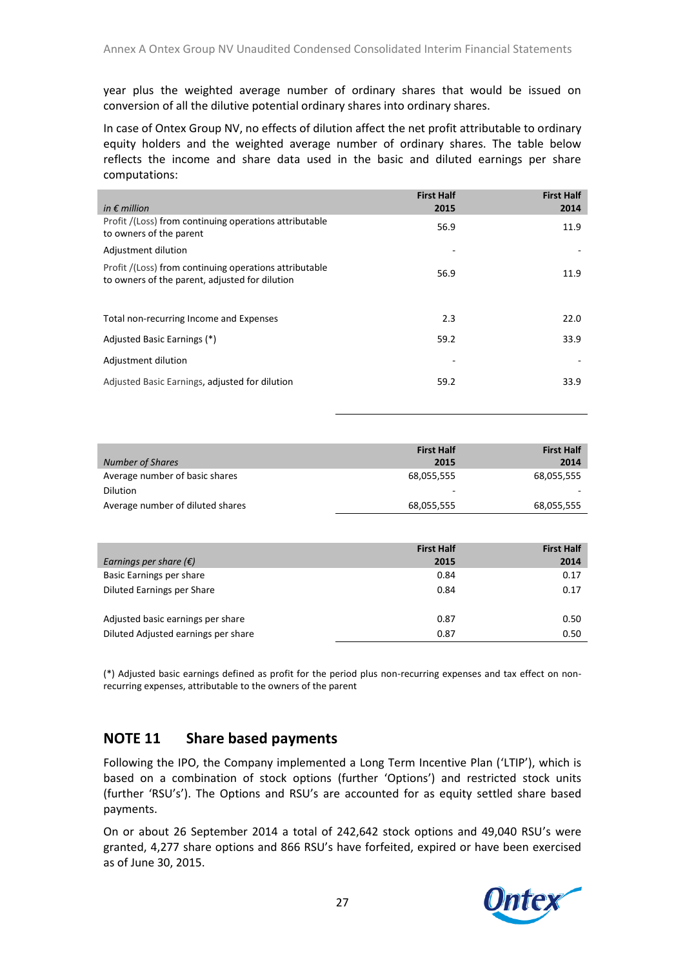year plus the weighted average number of ordinary shares that would be issued on conversion of all the dilutive potential ordinary shares into ordinary shares.

In case of Ontex Group NV, no effects of dilution affect the net profit attributable to ordinary equity holders and the weighted average number of ordinary shares. The table below reflects the income and share data used in the basic and diluted earnings per share computations:

| in $\epsilon$ million                                                                                    | <b>First Half</b><br>2015 | <b>First Half</b><br>2014 |
|----------------------------------------------------------------------------------------------------------|---------------------------|---------------------------|
| Profit /(Loss) from continuing operations attributable<br>to owners of the parent                        | 56.9                      | 11.9                      |
| Adjustment dilution                                                                                      |                           |                           |
| Profit /(Loss) from continuing operations attributable<br>to owners of the parent, adjusted for dilution | 56.9                      | 11.9                      |
|                                                                                                          |                           |                           |
| Total non-recurring Income and Expenses                                                                  | 2.3                       | 22.0                      |
| Adjusted Basic Earnings (*)                                                                              | 59.2                      | 33.9                      |
| Adjustment dilution                                                                                      |                           |                           |
| Adjusted Basic Earnings, adjusted for dilution                                                           | 59.2                      | 33.9                      |
|                                                                                                          |                           |                           |

|                                  | <b>First Half</b> | <b>First Half</b> |
|----------------------------------|-------------------|-------------------|
| <b>Number of Shares</b>          | 2015              | 2014              |
| Average number of basic shares   | 68,055,555        | 68,055,555        |
| <b>Dilution</b>                  | ۰                 |                   |
| Average number of diluted shares | 68,055,555        | 68,055,555        |

| Earnings per share $(\epsilon)$     | <b>First Half</b><br>2015 | <b>First Half</b><br>2014 |
|-------------------------------------|---------------------------|---------------------------|
| Basic Earnings per share            | 0.84                      | 0.17                      |
| Diluted Earnings per Share          | 0.84                      | 0.17                      |
| Adjusted basic earnings per share   | 0.87                      | 0.50                      |
| Diluted Adjusted earnings per share | 0.87                      | 0.50                      |

(\*) Adjusted basic earnings defined as profit for the period plus non-recurring expenses and tax effect on nonrecurring expenses, attributable to the owners of the parent

### **NOTE 11 Share based payments**

Following the IPO, the Company implemented a Long Term Incentive Plan ('LTIP'), which is based on a combination of stock options (further 'Options') and restricted stock units (further 'RSU's'). The Options and RSU's are accounted for as equity settled share based payments.

On or about 26 September 2014 a total of 242,642 stock options and 49,040 RSU's were granted, 4,277 share options and 866 RSU's have forfeited, expired or have been exercised as of June 30, 2015.

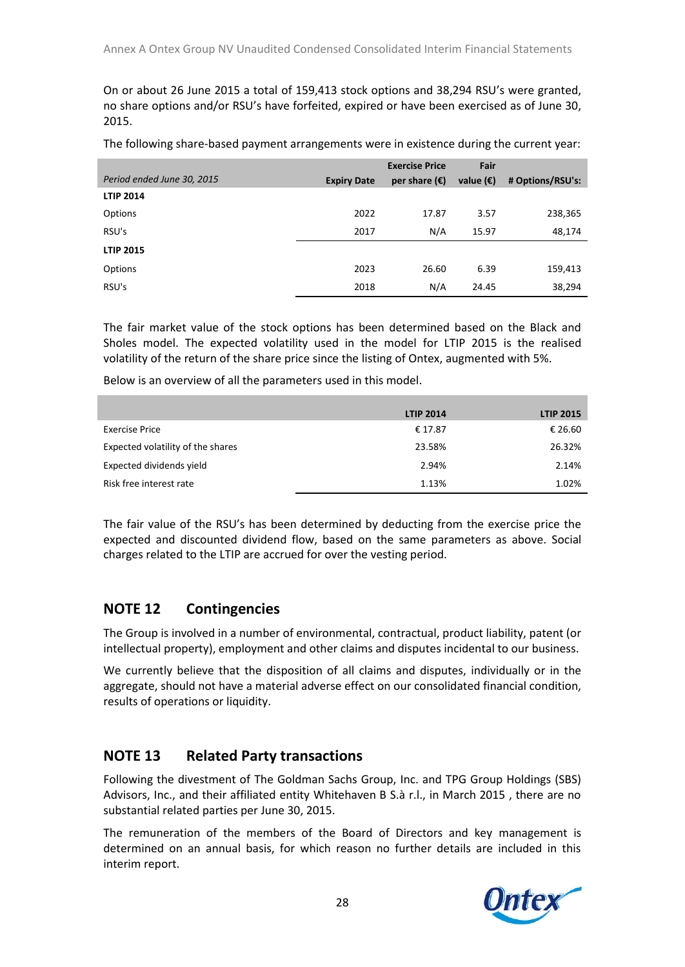On or about 26 June 2015 a total of 159,413 stock options and 38,294 RSU's were granted, no share options and/or RSU's have forfeited, expired or have been exercised as of June 30, 2015.

|  |  | The following share-based payment arrangements were in existence during the current year: |  |
|--|--|-------------------------------------------------------------------------------------------|--|
|--|--|-------------------------------------------------------------------------------------------|--|

|                            |                    | <b>Exercise Price</b>  | Fair               |                  |
|----------------------------|--------------------|------------------------|--------------------|------------------|
| Period ended June 30, 2015 | <b>Expiry Date</b> | per share $(\epsilon)$ | value $(\epsilon)$ | # Options/RSU's: |
| <b>LTIP 2014</b>           |                    |                        |                    |                  |
| Options                    | 2022               | 17.87                  | 3.57               | 238,365          |
| RSU's                      | 2017               | N/A                    | 15.97              | 48,174           |
| <b>LTIP 2015</b>           |                    |                        |                    |                  |
| Options                    | 2023               | 26.60                  | 6.39               | 159,413          |
| RSU's                      | 2018               | N/A                    | 24.45              | 38,294           |

The fair market value of the stock options has been determined based on the Black and Sholes model. The expected volatility used in the model for LTIP 2015 is the realised volatility of the return of the share price since the listing of Ontex, augmented with 5%.

Below is an overview of all the parameters used in this model.

|                                   | <b>LTIP 2014</b> | <b>LTIP 2015</b> |
|-----------------------------------|------------------|------------------|
| Exercise Price                    | € 17.87          | € 26.60          |
| Expected volatility of the shares | 23.58%           | 26.32%           |
| Expected dividends yield          | 2.94%            | 2.14%            |
| Risk free interest rate           | 1.13%            | 1.02%            |

The fair value of the RSU's has been determined by deducting from the exercise price the expected and discounted dividend flow, based on the same parameters as above. Social charges related to the LTIP are accrued for over the vesting period.

### **NOTE 12 Contingencies**

The Group is involved in a number of environmental, contractual, product liability, patent (or intellectual property), employment and other claims and disputes incidental to our business.

We currently believe that the disposition of all claims and disputes, individually or in the aggregate, should not have a material adverse effect on our consolidated financial condition, results of operations or liquidity.

# **NOTE 13 Related Party transactions**

Following the divestment of The Goldman Sachs Group, Inc. and TPG Group Holdings (SBS) Advisors, Inc., and their affiliated entity Whitehaven B S.à r.l., in March 2015 , there are no substantial related parties per June 30, 2015.

The remuneration of the members of the Board of Directors and key management is determined on an annual basis, for which reason no further details are included in this interim report.

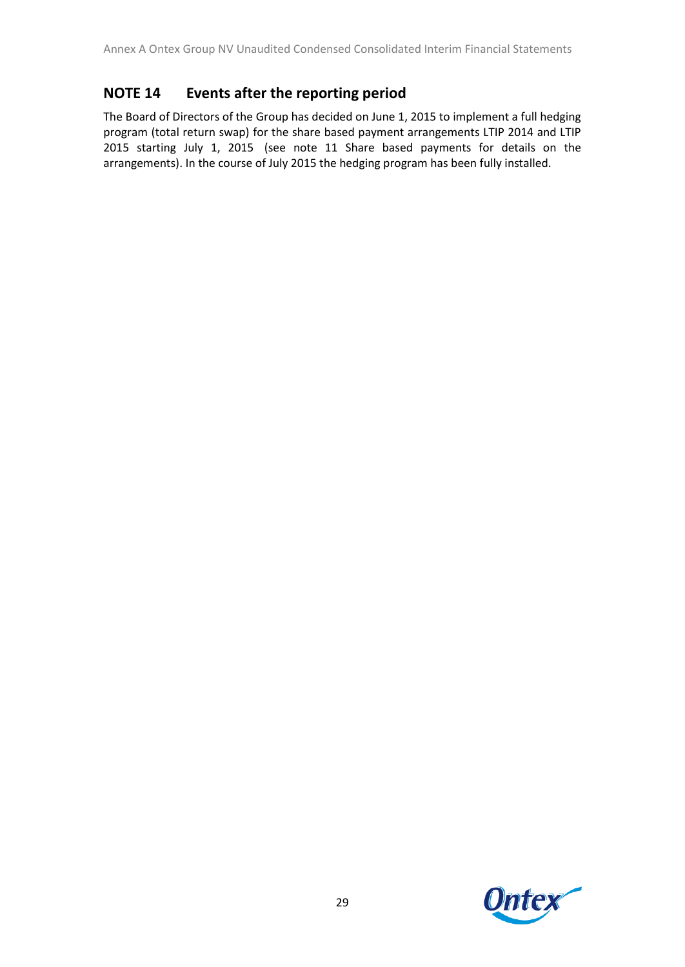# **NOTE 14 Events after the reporting period**

The Board of Directors of the Group has decided on June 1, 2015 to implement a full hedging program (total return swap) for the share based payment arrangements LTIP 2014 and LTIP 2015 starting July 1, 2015 (see note 11 Share based payments for details on the arrangements). In the course of July 2015 the hedging program has been fully installed.